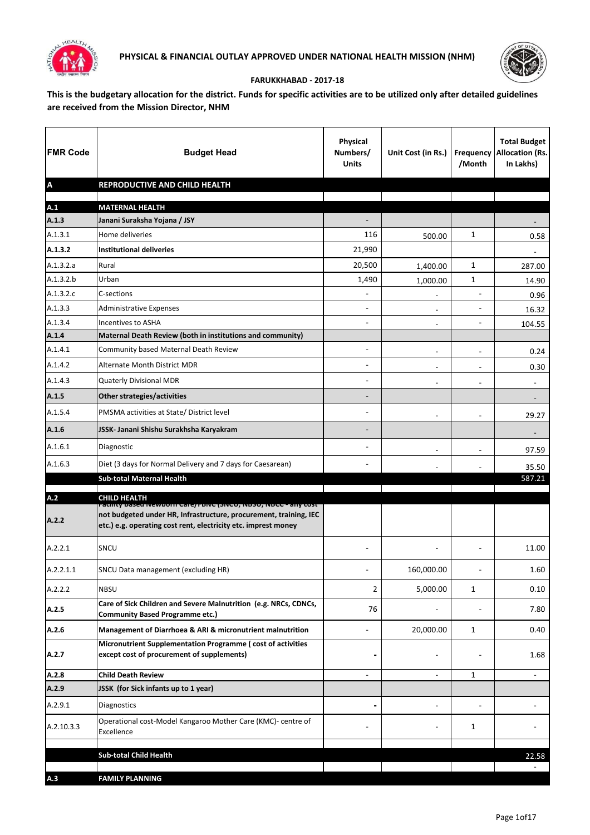



## **FARUKKHABAD - 2017-18**

**This is the budgetary allocation for the district. Funds for specific activities are to be utilized only after detailed guidelines are received from the Mission Director, NHM**

| <b>FMR Code</b>           | <b>Budget Head</b>                                                                                                                                                                                    | <b>Physical</b><br>Numbers/<br><b>Units</b> | Unit Cost (in Rs.)       | /Month                   | <b>Total Budget</b><br><b>Frequency Allocation (Rs.</b><br>In Lakhs) |
|---------------------------|-------------------------------------------------------------------------------------------------------------------------------------------------------------------------------------------------------|---------------------------------------------|--------------------------|--------------------------|----------------------------------------------------------------------|
| $\boldsymbol{\mathsf{A}}$ | REPRODUCTIVE AND CHILD HEALTH                                                                                                                                                                         |                                             |                          |                          |                                                                      |
| A.1                       | <b>MATERNAL HEALTH</b>                                                                                                                                                                                |                                             |                          |                          |                                                                      |
| A.1.3                     | Janani Suraksha Yojana / JSY                                                                                                                                                                          |                                             |                          |                          |                                                                      |
| A.1.3.1                   | Home deliveries                                                                                                                                                                                       | 116                                         | 500.00                   | $\mathbf{1}$             | 0.58                                                                 |
| A.1.3.2                   | <b>Institutional deliveries</b>                                                                                                                                                                       | 21,990                                      |                          |                          |                                                                      |
| A.1.3.2.a                 | Rural                                                                                                                                                                                                 | 20,500                                      | 1,400.00                 | 1                        | 287.00                                                               |
| A.1.3.2.b                 | Urban                                                                                                                                                                                                 | 1,490                                       | 1,000.00                 | 1                        | 14.90                                                                |
| A.1.3.2.c                 | C-sections                                                                                                                                                                                            | $\blacksquare$                              | $\overline{\phantom{a}}$ | $\blacksquare$           | 0.96                                                                 |
| A.1.3.3                   | <b>Administrative Expenses</b>                                                                                                                                                                        | ۰                                           | $\blacksquare$           | $\overline{\phantom{a}}$ | 16.32                                                                |
| A.1.3.4                   | <b>Incentives to ASHA</b>                                                                                                                                                                             | ۰                                           | $\blacksquare$           | $\overline{\phantom{a}}$ | 104.55                                                               |
| A.1.4                     | Maternal Death Review (both in institutions and community)                                                                                                                                            |                                             |                          |                          |                                                                      |
| A.1.4.1                   | Community based Maternal Death Review                                                                                                                                                                 | $\overline{\phantom{0}}$                    |                          |                          | 0.24                                                                 |
| A.1.4.2                   | Alternate Month District MDR                                                                                                                                                                          | ÷                                           | $\blacksquare$           | $\overline{\phantom{m}}$ | 0.30                                                                 |
| A.1.4.3                   | Quaterly Divisional MDR                                                                                                                                                                               |                                             | $\blacksquare$           | $\blacksquare$           | $\blacksquare$                                                       |
| A.1.5                     | Other strategies/activities                                                                                                                                                                           | -                                           |                          |                          |                                                                      |
| A.1.5.4                   | PMSMA activities at State/ District level                                                                                                                                                             | $\blacksquare$                              | $\blacksquare$           | $\blacksquare$           | 29.27                                                                |
| A.1.6                     | JSSK- Janani Shishu Surakhsha Karyakram                                                                                                                                                               |                                             |                          |                          |                                                                      |
| A.1.6.1                   | Diagnostic                                                                                                                                                                                            | $\blacksquare$                              | $\blacksquare$           | $\overline{\phantom{0}}$ | 97.59                                                                |
| A.1.6.3                   | Diet (3 days for Normal Delivery and 7 days for Caesarean)                                                                                                                                            | ۰                                           |                          |                          | 35.50                                                                |
|                           | <b>Sub-total Maternal Health</b>                                                                                                                                                                      |                                             |                          |                          | 587.21                                                               |
| A.2                       | <b>CHILD HEALTH</b>                                                                                                                                                                                   |                                             |                          |                          |                                                                      |
| A.2.2                     | ratinty based שפטורן Care/ Forve (אוכט, מסטט, ואסכל - any tost<br>not budgeted under HR, Infrastructure, procurement, training, IEC<br>etc.) e.g. operating cost rent, electricity etc. imprest money |                                             |                          |                          |                                                                      |
| A.2.2.1                   | SNCU                                                                                                                                                                                                  |                                             |                          |                          | 11.00                                                                |
| A.2.2.1.1                 | SNCU Data management (excluding HR)                                                                                                                                                                   |                                             | 160,000.00               |                          | 1.60                                                                 |
| A.2.2.2                   | <b>NBSU</b>                                                                                                                                                                                           | $\overline{2}$                              | 5,000.00                 | 1                        | 0.10                                                                 |
| A.2.5                     | Care of Sick Children and Severe Malnutrition (e.g. NRCs, CDNCs,<br><b>Community Based Programme etc.)</b>                                                                                            | 76                                          |                          |                          | 7.80                                                                 |
| A.2.6                     | Management of Diarrhoea & ARI & micronutrient malnutrition                                                                                                                                            |                                             | 20,000.00                | 1                        | 0.40                                                                 |
| A.2.7                     | Micronutrient Supplementation Programme (cost of activities<br>except cost of procurement of supplements)                                                                                             |                                             | -                        |                          | 1.68                                                                 |
| A.2.8                     | <b>Child Death Review</b>                                                                                                                                                                             | ÷                                           | $\blacksquare$           | 1                        | $\blacksquare$                                                       |
| A.2.9                     | JSSK (for Sick infants up to 1 year)                                                                                                                                                                  |                                             |                          |                          |                                                                      |
| A.2.9.1                   | Diagnostics                                                                                                                                                                                           |                                             |                          |                          |                                                                      |
| A.2.10.3.3                | Operational cost-Model Kangaroo Mother Care (KMC)- centre of<br>Excellence                                                                                                                            |                                             |                          | 1                        |                                                                      |
|                           | <b>Sub-total Child Health</b>                                                                                                                                                                         |                                             |                          |                          |                                                                      |
|                           |                                                                                                                                                                                                       |                                             |                          |                          | 22.58                                                                |
| A.3                       | <b>FAMILY PLANNING</b>                                                                                                                                                                                |                                             |                          |                          |                                                                      |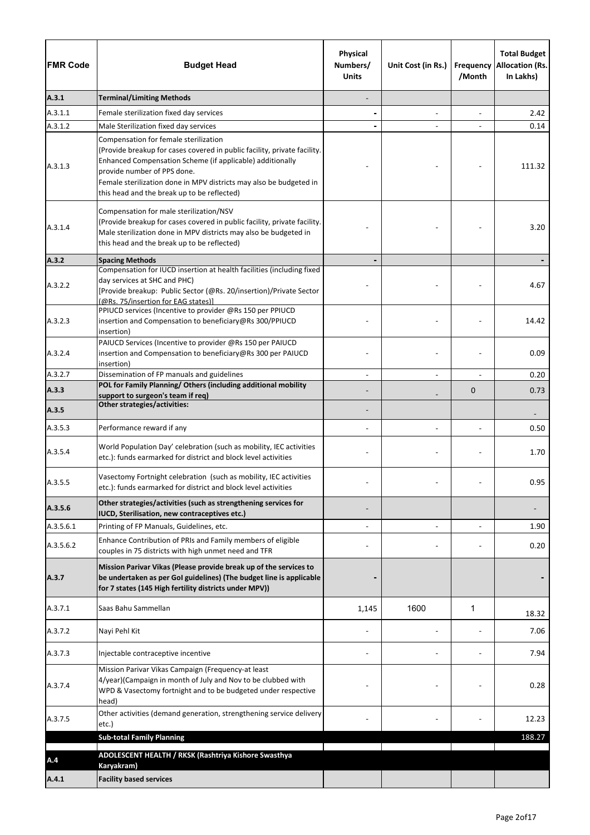| <b>FMR Code</b> | <b>Budget Head</b>                                                                                                                                                                                                                                                                                                                 | Physical<br>Numbers/<br><b>Units</b> | Unit Cost (in Rs.)       | Frequency<br>/Month | <b>Total Budget</b><br><b>Allocation (Rs.</b><br>In Lakhs) |
|-----------------|------------------------------------------------------------------------------------------------------------------------------------------------------------------------------------------------------------------------------------------------------------------------------------------------------------------------------------|--------------------------------------|--------------------------|---------------------|------------------------------------------------------------|
| A.3.1           | <b>Terminal/Limiting Methods</b>                                                                                                                                                                                                                                                                                                   |                                      |                          |                     |                                                            |
| A.3.1.1         | Female sterilization fixed day services                                                                                                                                                                                                                                                                                            |                                      | $\blacksquare$           |                     | 2.42                                                       |
| A.3.1.2         | Male Sterilization fixed day services                                                                                                                                                                                                                                                                                              |                                      |                          |                     | 0.14                                                       |
| A.3.1.3         | Compensation for female sterilization<br>(Provide breakup for cases covered in public facility, private facility.<br>Enhanced Compensation Scheme (if applicable) additionally<br>provide number of PPS done.<br>Female sterilization done in MPV districts may also be budgeted in<br>this head and the break up to be reflected) |                                      |                          |                     | 111.32                                                     |
| A.3.1.4         | Compensation for male sterilization/NSV<br>(Provide breakup for cases covered in public facility, private facility.<br>Male sterilization done in MPV districts may also be budgeted in<br>this head and the break up to be reflected)                                                                                             |                                      |                          |                     | 3.20                                                       |
| A.3.2           | <b>Spacing Methods</b>                                                                                                                                                                                                                                                                                                             |                                      |                          |                     |                                                            |
| A.3.2.2         | Compensation for IUCD insertion at health facilities (including fixed<br>day services at SHC and PHC)<br>[Provide breakup: Public Sector (@Rs. 20/insertion)/Private Sector<br>(@Rs. 75/insertion for EAG states)]                                                                                                                 |                                      |                          |                     | 4.67                                                       |
| A.3.2.3         | PPIUCD services (Incentive to provider @Rs 150 per PPIUCD<br>insertion and Compensation to beneficiary@Rs 300/PPIUCD<br>insertion)                                                                                                                                                                                                 |                                      |                          |                     | 14.42                                                      |
| A.3.2.4         | PAIUCD Services (Incentive to provider @Rs 150 per PAIUCD<br>insertion and Compensation to beneficiary@Rs 300 per PAIUCD<br>insertion)                                                                                                                                                                                             |                                      |                          |                     | 0.09                                                       |
| A.3.2.7         | Dissemination of FP manuals and guidelines                                                                                                                                                                                                                                                                                         |                                      | $\overline{a}$           |                     | 0.20                                                       |
| A.3.3           | POL for Family Planning/ Others (including additional mobility<br>support to surgeon's team if req)                                                                                                                                                                                                                                |                                      |                          | $\mathbf 0$         | 0.73                                                       |
| A.3.5           | <b>Other strategies/activities:</b>                                                                                                                                                                                                                                                                                                |                                      |                          |                     |                                                            |
| A.3.5.3         | Performance reward if any                                                                                                                                                                                                                                                                                                          |                                      | $\overline{\phantom{a}}$ |                     | 0.50                                                       |
| A.3.5.4         | World Population Day' celebration (such as mobility, IEC activities<br>etc.): funds earmarked for district and block level activities                                                                                                                                                                                              |                                      |                          |                     | 1.70                                                       |
| A.3.5.5         | Vasectomy Fortnight celebration (such as mobility, IEC activities<br>etc.): funds earmarked for district and block level activities                                                                                                                                                                                                |                                      |                          |                     | 0.95                                                       |
| A.3.5.6         | Other strategies/activities (such as strengthening services for<br>IUCD, Sterilisation, new contraceptives etc.)                                                                                                                                                                                                                   |                                      |                          |                     |                                                            |
| A.3.5.6.1       | Printing of FP Manuals, Guidelines, etc.                                                                                                                                                                                                                                                                                           |                                      |                          |                     | 1.90                                                       |
| A.3.5.6.2       | Enhance Contribution of PRIs and Family members of eligible<br>couples in 75 districts with high unmet need and TFR                                                                                                                                                                                                                |                                      |                          |                     | 0.20                                                       |
| A.3.7           | Mission Parivar Vikas (Please provide break up of the services to<br>be undertaken as per GoI guidelines) (The budget line is applicable<br>for 7 states (145 High fertility districts under MPV))                                                                                                                                 |                                      |                          |                     |                                                            |
| A.3.7.1         | Saas Bahu Sammellan                                                                                                                                                                                                                                                                                                                | 1,145                                | 1600                     | 1                   | 18.32                                                      |
| A.3.7.2         | Nayi Pehl Kit                                                                                                                                                                                                                                                                                                                      |                                      |                          |                     | 7.06                                                       |
| A.3.7.3         | Injectable contraceptive incentive                                                                                                                                                                                                                                                                                                 |                                      |                          |                     | 7.94                                                       |
| A.3.7.4         | Mission Parivar Vikas Campaign (Frequency-at least<br>4/year)(Campaign in month of July and Nov to be clubbed with<br>WPD & Vasectomy fortnight and to be budgeted under respective<br>head)                                                                                                                                       |                                      |                          |                     | 0.28                                                       |
| A.3.7.5         | Other activities (demand generation, strengthening service delivery<br>etc.)                                                                                                                                                                                                                                                       |                                      |                          |                     | 12.23                                                      |
|                 | <b>Sub-total Family Planning</b>                                                                                                                                                                                                                                                                                                   |                                      |                          |                     | 188.27                                                     |
| A.4             | ADOLESCENT HEALTH / RKSK (Rashtriya Kishore Swasthya<br>Karyakram)                                                                                                                                                                                                                                                                 |                                      |                          |                     |                                                            |
| A.4.1           | <b>Facility based services</b>                                                                                                                                                                                                                                                                                                     |                                      |                          |                     |                                                            |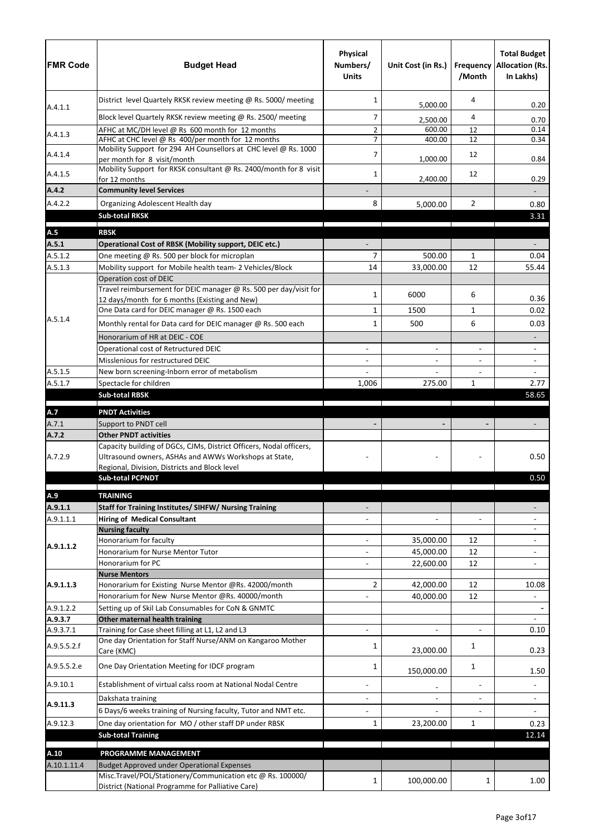| <b>IFMR Code</b>     | <b>Budget Head</b>                                                                               | Physical<br>Numbers/<br><b>Units</b> | Unit Cost (in Rs.)       | /Month                   | <b>Total Budget</b><br><b>Frequency Allocation (Rs.</b><br>In Lakhs) |
|----------------------|--------------------------------------------------------------------------------------------------|--------------------------------------|--------------------------|--------------------------|----------------------------------------------------------------------|
| A.4.1.1              | District level Quartely RKSK review meeting @ Rs. 5000/ meeting                                  | $\mathbf{1}$                         | 5,000.00                 | 4                        | 0.20                                                                 |
|                      | Block level Quartely RKSK review meeting @ Rs. 2500/ meeting                                     | 7                                    | 2,500.00                 | 4                        | 0.70                                                                 |
|                      | AFHC at MC/DH level @ Rs 600 month for 12 months                                                 | $\overline{2}$                       | 600.00                   | 12                       | 0.14                                                                 |
| A.4.1.3              | AFHC at CHC level @ Rs 400/per month for 12 months                                               | $\overline{7}$                       | 400.00                   | 12                       | 0.34                                                                 |
| A.4.1.4              | Mobility Support for 294 AH Counsellors at CHC level @ Rs. 1000                                  | $\overline{7}$                       |                          | 12                       |                                                                      |
| A.4.1.5              | per month for 8 visit/month<br>Mobility Support for RKSK consultant @ Rs. 2400/month for 8 visit | 1                                    | 1,000.00                 | 12                       | 0.84<br>0.29                                                         |
| A.4.2                | for 12 months<br><b>Community level Services</b>                                                 |                                      | 2,400.00                 |                          |                                                                      |
|                      |                                                                                                  |                                      |                          |                          |                                                                      |
| A.4.2.2              | Organizing Adolescent Health day                                                                 | 8                                    | 5,000.00                 | $\overline{2}$           | 0.80                                                                 |
|                      | <b>Sub-total RKSK</b>                                                                            |                                      |                          |                          | 3.31                                                                 |
| A.5                  | <b>RBSK</b>                                                                                      |                                      |                          |                          |                                                                      |
| A.5.1                | Operational Cost of RBSK (Mobility support, DEIC etc.)                                           |                                      |                          |                          |                                                                      |
| A.5.1.2              | One meeting @ Rs. 500 per block for microplan                                                    | $\overline{7}$                       | 500.00                   | $\mathbf{1}$             | 0.04                                                                 |
| A.5.1.3              | Mobility support for Mobile health team- 2 Vehicles/Block                                        | 14                                   | 33,000.00                | 12                       | 55.44                                                                |
|                      | Operation cost of DEIC                                                                           |                                      |                          |                          |                                                                      |
|                      | Travel reimbursement for DEIC manager @ Rs. 500 per day/visit for                                | 1                                    | 6000                     | 6                        |                                                                      |
|                      | 12 days/month for 6 months (Existing and New)                                                    |                                      |                          |                          | 0.36                                                                 |
| A.5.1.4              | One Data card for DEIC manager @ Rs. 1500 each                                                   | 1                                    | 1500                     | $\mathbf{1}$             | 0.02                                                                 |
|                      | Monthly rental for Data card for DEIC manager @ Rs. 500 each                                     | 1                                    | 500                      | 6                        | 0.03                                                                 |
|                      | Honorarium of HR at DEIC - COE                                                                   |                                      |                          |                          |                                                                      |
|                      | Operational cost of Retructured DEIC                                                             |                                      | $\overline{\phantom{m}}$ | $\blacksquare$           |                                                                      |
|                      | Misslenious for restructured DEIC                                                                |                                      | $\blacksquare$           | ÷.                       | $\blacksquare$                                                       |
| A.5.1.5              | New born screening-Inborn error of metabolism                                                    |                                      | $\blacksquare$           | $\overline{\phantom{0}}$ | $\blacksquare$                                                       |
| A.5.1.7              | Spectacle for children                                                                           | 1,006                                | 275.00                   | $\mathbf{1}$             | 2.77                                                                 |
|                      | <b>Sub-total RBSK</b>                                                                            |                                      |                          |                          | 58.65                                                                |
| A.7                  | <b>PNDT Activities</b>                                                                           |                                      |                          |                          |                                                                      |
| A.7.1                | Support to PNDT cell                                                                             |                                      |                          |                          |                                                                      |
| A.7.2                | <b>Other PNDT activities</b>                                                                     |                                      |                          |                          |                                                                      |
|                      | Capacity building of DGCs, CJMs, District Officers, Nodal officers,                              |                                      |                          |                          |                                                                      |
| A.7.2.9              | Ultrasound owners, ASHAs and AWWs Workshops at State,                                            |                                      |                          |                          | 0.50                                                                 |
|                      | Regional, Division, Districts and Block level                                                    |                                      |                          |                          |                                                                      |
|                      | <b>Sub-total PCPNDT</b>                                                                          |                                      |                          |                          | 0.50                                                                 |
| A.9                  | <b>TRAINING</b>                                                                                  |                                      |                          |                          |                                                                      |
| A.9.1.1              | Staff for Training Institutes/ SIHFW/ Nursing Training                                           |                                      |                          |                          |                                                                      |
| A.9.1.1.1            | <b>Hiring of Medical Consultant</b>                                                              |                                      | $\overline{a}$           | ÷,                       |                                                                      |
|                      | <b>Nursing faculty</b>                                                                           |                                      |                          |                          |                                                                      |
| A.9.1.1.2            | Honorarium for faculty                                                                           |                                      | 35,000.00                | 12                       |                                                                      |
|                      | Honorarium for Nurse Mentor Tutor                                                                |                                      | 45,000.00                | 12                       | $\blacksquare$                                                       |
|                      | Honorarium for PC                                                                                |                                      | 22,600.00                | 12                       |                                                                      |
|                      | <b>Nurse Mentors</b>                                                                             |                                      |                          |                          |                                                                      |
| A.9.1.1.3            | Honorarium for Existing Nurse Mentor @Rs. 42000/month                                            | $\overline{2}$                       | 42,000.00                | 12                       | 10.08                                                                |
|                      | Honorarium for New Nurse Mentor @Rs. 40000/month                                                 |                                      | 40,000.00                | 12                       | $\overline{a}$                                                       |
| A.9.1.2.2            | Setting up of Skil Lab Consumables for CoN & GNMTC                                               |                                      |                          |                          |                                                                      |
| A.9.3.7<br>A.9.3.7.1 | Other maternal health training<br>Training for Case sheet filling at L1, L2 and L3               |                                      |                          | $\overline{\phantom{0}}$ | 0.10                                                                 |
| A.9.5.5.2.f          | One day Orientation for Staff Nurse/ANM on Kangaroo Mother<br>Care (KMC)                         | 1                                    | 23,000.00                | 1                        | 0.23                                                                 |
| A.9.5.5.2.e          | One Day Orientation Meeting for IDCF program                                                     | 1                                    | 150,000.00               | 1                        | 1.50                                                                 |
| A.9.10.1             | Establishment of virtual calss room at National Nodal Centre                                     |                                      | $\overline{\phantom{0}}$ | ÷.                       |                                                                      |
| A.9.11.3             | Dakshata training                                                                                |                                      | $\blacksquare$           | $\blacksquare$           | $\blacksquare$                                                       |
|                      | 6 Days/6 weeks training of Nursing faculty, Tutor and NMT etc.                                   |                                      |                          |                          |                                                                      |
| A.9.12.3             | One day orientation for MO / other staff DP under RBSK                                           | 1                                    | 23,200.00                | $\mathbf{1}$             | 0.23                                                                 |
|                      | <b>Sub-total Training</b>                                                                        |                                      |                          |                          | 12.14                                                                |
| A.10                 | PROGRAMME MANAGEMENT                                                                             |                                      |                          |                          |                                                                      |
| A.10.1.11.4          | Budget Approved under Operational Expenses                                                       |                                      |                          |                          |                                                                      |
|                      | Misc.Travel/POL/Stationery/Communication etc @ Rs. 100000/                                       |                                      |                          |                          |                                                                      |
|                      | District (National Programme for Palliative Care)                                                | 1                                    | 100,000.00               | 1                        | 1.00                                                                 |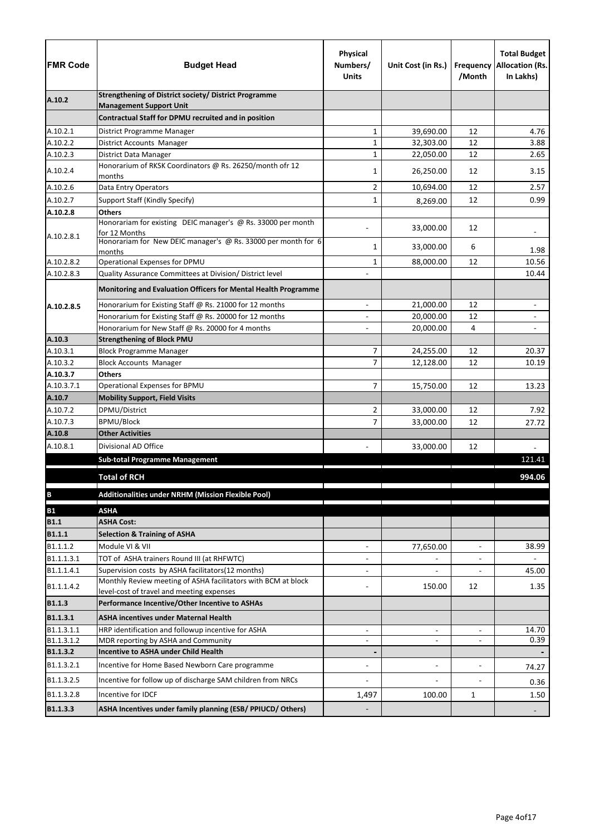| <b>FMR Code</b>      | <b>Budget Head</b>                                                                                         | Physical<br>Numbers/<br><b>Units</b> | Unit Cost (in Rs.)       | Frequency<br>/Month      | <b>Total Budget</b><br><b>Allocation (Rs.</b><br>In Lakhs) |
|----------------------|------------------------------------------------------------------------------------------------------------|--------------------------------------|--------------------------|--------------------------|------------------------------------------------------------|
| A.10.2               | <b>Strengthening of District society/ District Programme</b>                                               |                                      |                          |                          |                                                            |
|                      | <b>Management Support Unit</b><br>Contractual Staff for DPMU recruited and in position                     |                                      |                          |                          |                                                            |
|                      |                                                                                                            |                                      |                          |                          |                                                            |
| A.10.2.1<br>A.10.2.2 | District Programme Manager<br>District Accounts Manager                                                    | 1<br>$\mathbf 1$                     | 39,690.00<br>32,303.00   | 12<br>12                 | 4.76<br>3.88                                               |
| A.10.2.3             | District Data Manager                                                                                      | $\mathbf 1$                          | 22,050.00                | 12                       | 2.65                                                       |
|                      | Honorarium of RKSK Coordinators @ Rs. 26250/month ofr 12                                                   |                                      |                          |                          |                                                            |
| A.10.2.4             | months                                                                                                     | 1                                    | 26,250.00                | 12                       | 3.15                                                       |
| A.10.2.6             | Data Entry Operators                                                                                       | $\overline{2}$                       | 10,694.00                | 12                       | 2.57                                                       |
| A.10.2.7             | Support Staff (Kindly Specify)                                                                             | 1                                    | 8,269.00                 | 12                       | 0.99                                                       |
| A.10.2.8             | <b>Others</b>                                                                                              |                                      |                          |                          |                                                            |
|                      | Honorariam for existing DEIC manager's @ Rs. 33000 per month                                               |                                      | 33,000.00                | 12                       |                                                            |
| A.10.2.8.1           | for 12 Months<br>Honorariam for New DEIC manager's @ Rs. 33000 per month for 6                             |                                      |                          |                          |                                                            |
|                      | months                                                                                                     | 1                                    | 33,000.00                | 6                        | 1.98                                                       |
| A.10.2.8.2           | Operational Expenses for DPMU                                                                              | $\mathbf{1}$                         | 88,000.00                | 12                       | 10.56                                                      |
| A.10.2.8.3           | Quality Assurance Committees at Division/ District level                                                   |                                      |                          |                          | 10.44                                                      |
|                      | Monitoring and Evaluation Officers for Mental Health Programme                                             |                                      |                          |                          |                                                            |
| A.10.2.8.5           | Honorarium for Existing Staff @ Rs. 21000 for 12 months                                                    |                                      | 21,000.00                | 12                       |                                                            |
|                      | Honorarium for Existing Staff @ Rs. 20000 for 12 months                                                    |                                      | 20,000.00                | 12                       |                                                            |
|                      | Honorarium for New Staff @ Rs. 20000 for 4 months                                                          |                                      | 20,000.00                | 4                        |                                                            |
| A.10.3               | <b>Strengthening of Block PMU</b>                                                                          |                                      |                          |                          |                                                            |
| A.10.3.1             | <b>Block Programme Manager</b>                                                                             | 7                                    | 24,255.00                | 12                       | 20.37                                                      |
| A.10.3.2             | <b>Block Accounts Manager</b>                                                                              | $\overline{7}$                       | 12,128.00                | 12                       | 10.19                                                      |
| A.10.3.7             | <b>Others</b>                                                                                              |                                      |                          |                          |                                                            |
| A.10.3.7.1           | Operational Expenses for BPMU                                                                              | 7                                    | 15,750.00                | 12                       | 13.23                                                      |
| A.10.7               | <b>Mobility Support, Field Visits</b>                                                                      |                                      |                          |                          |                                                            |
| A.10.7.2             | DPMU/District                                                                                              | 2                                    | 33,000.00                | 12                       | 7.92                                                       |
| A.10.7.3             | <b>BPMU/Block</b>                                                                                          | 7                                    | 33,000.00                | 12                       | 27.72                                                      |
| A.10.8               | <b>Other Activities</b>                                                                                    |                                      |                          |                          |                                                            |
| A.10.8.1             | Divisional AD Office                                                                                       |                                      | 33,000.00                | 12                       |                                                            |
|                      | <b>Sub-total Programme Management</b>                                                                      |                                      |                          |                          | 121.41                                                     |
|                      | <b>Total of RCH</b>                                                                                        |                                      |                          |                          | 994.06                                                     |
| $\, {\bf B}$         | Additionalities under NRHM (Mission Flexible Pool)                                                         |                                      |                          |                          |                                                            |
| <b>B1</b>            | <b>ASHA</b>                                                                                                |                                      |                          |                          |                                                            |
| <b>B1.1</b>          | <b>ASHA Cost:</b>                                                                                          |                                      |                          |                          |                                                            |
| <b>B1.1.1</b>        | <b>Selection &amp; Training of ASHA</b>                                                                    |                                      |                          |                          |                                                            |
| B1.1.1.2             | Module VI & VII                                                                                            | $\overline{\phantom{a}}$             | 77,650.00                | $\blacksquare$           | 38.99                                                      |
| B1.1.1.3.1           | TOT of ASHA trainers Round III (at RHFWTC)                                                                 |                                      |                          |                          |                                                            |
| B1.1.1.4.1           | Supervision costs by ASHA facilitators(12 months)                                                          | $\blacksquare$                       |                          |                          | 45.00                                                      |
| B1.1.1.4.2           | Monthly Review meeting of ASHA facilitators with BCM at block<br>level-cost of travel and meeting expenses |                                      | 150.00                   | 12                       | 1.35                                                       |
| <b>B1.1.3</b>        | Performance Incentive/Other Incentive to ASHAs                                                             |                                      |                          |                          |                                                            |
| B1.1.3.1             | <b>ASHA incentives under Maternal Health</b>                                                               |                                      |                          |                          |                                                            |
| B1.1.3.1.1           | HRP identification and followup incentive for ASHA                                                         | $\blacksquare$                       | $\blacksquare$           | $\blacksquare$           | 14.70                                                      |
| B1.1.3.1.2           | MDR reporting by ASHA and Community                                                                        |                                      | $\overline{\phantom{a}}$ | $\blacksquare$           | 0.39                                                       |
| B1.1.3.2             | <b>Incentive to ASHA under Child Health</b>                                                                |                                      |                          |                          |                                                            |
| B1.1.3.2.1           | Incentive for Home Based Newborn Care programme                                                            | $\blacksquare$                       | $\blacksquare$           | $\overline{\phantom{a}}$ | 74.27                                                      |
| B1.1.3.2.5           |                                                                                                            |                                      |                          |                          |                                                            |
|                      | Incentive for follow up of discharge SAM children from NRCs                                                |                                      |                          |                          | 0.36                                                       |
| B1.1.3.2.8           | Incentive for IDCF                                                                                         | 1,497                                | 100.00                   | 1                        | 1.50                                                       |
| B1.1.3.3             | ASHA Incentives under family planning (ESB/ PPIUCD/ Others)                                                |                                      |                          |                          |                                                            |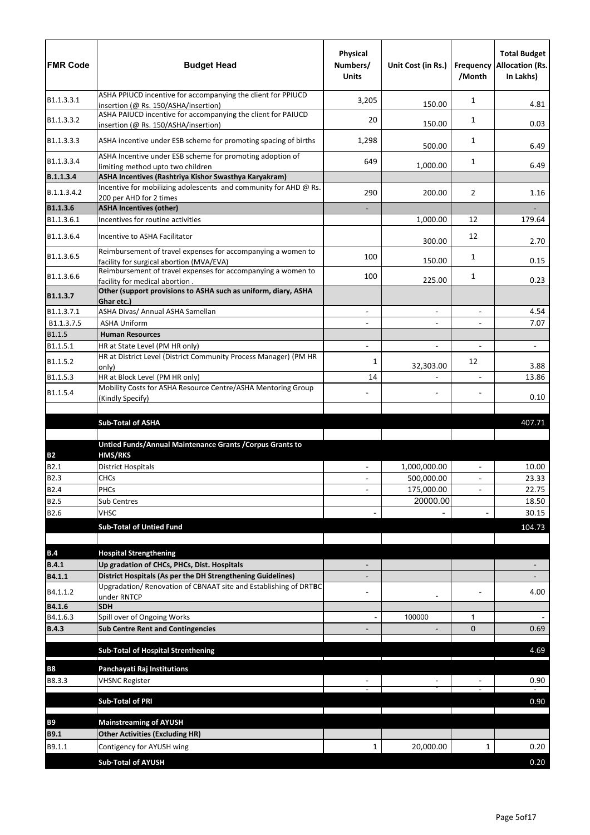| <b>FMR Code</b>          | <b>Budget Head</b>                                                                                                              | Physical<br>Numbers/<br><b>Units</b> | Unit Cost (in Rs.) | /Month                   | <b>Total Budget</b><br><b>Frequency Allocation (Rs.</b><br>In Lakhs) |
|--------------------------|---------------------------------------------------------------------------------------------------------------------------------|--------------------------------------|--------------------|--------------------------|----------------------------------------------------------------------|
| B1.1.3.3.1               | ASHA PPIUCD incentive for accompanying the client for PPIUCD<br>insertion (@ Rs. 150/ASHA/insertion)                            | 3,205                                | 150.00             | 1                        | 4.81                                                                 |
| B1.1.3.3.2               | ASHA PAIUCD incentive for accompanying the client for PAIUCD<br>insertion (@ Rs. 150/ASHA/insertion)                            | 20                                   | 150.00             | 1                        | 0.03                                                                 |
| B1.1.3.3.3               | ASHA incentive under ESB scheme for promoting spacing of births                                                                 | 1,298                                | 500.00             | 1                        | 6.49                                                                 |
| B1.1.3.3.4               | ASHA Incentive under ESB scheme for promoting adoption of<br>limiting method upto two children                                  | 649                                  | 1,000.00           | 1                        | 6.49                                                                 |
| B.1.1.3.4                | ASHA Incentives (Rashtriya Kishor Swasthya Karyakram)                                                                           |                                      |                    |                          |                                                                      |
| B.1.1.3.4.2              | Incentive for mobilizing adolescents and community for AHD @ Rs.<br>200 per AHD for 2 times                                     | 290                                  | 200.00             | $\overline{2}$           | 1.16                                                                 |
| B1.1.3.6                 | <b>ASHA Incentives (other)</b>                                                                                                  |                                      |                    |                          |                                                                      |
| B1.1.3.6.1               | Incentives for routine activities                                                                                               |                                      | 1,000.00           | 12                       | 179.64                                                               |
| B1.1.3.6.4               | Incentive to ASHA Facilitator                                                                                                   |                                      | 300.00             | 12                       | 2.70                                                                 |
| B1.1.3.6.5               | Reimbursement of travel expenses for accompanying a women to<br>facility for surgical abortion (MVA/EVA)                        | 100                                  | 150.00             | 1                        | 0.15                                                                 |
| B1.1.3.6.6               | Reimbursement of travel expenses for accompanying a women to<br>facility for medical abortion.                                  | 100                                  | 225.00             | 1                        | 0.23                                                                 |
| B1.1.3.7                 | Other (support provisions to ASHA such as uniform, diary, ASHA<br>Ghar etc.)                                                    |                                      |                    |                          |                                                                      |
| B1.1.3.7.1               | ASHA Divas/ Annual ASHA Samellan                                                                                                |                                      | $\blacksquare$     | $\overline{a}$           | 4.54                                                                 |
| B1.1.3.7.5               | <b>ASHA Uniform</b>                                                                                                             |                                      | $\blacksquare$     | $\overline{\phantom{0}}$ | 7.07                                                                 |
| B1.1.5                   | <b>Human Resources</b>                                                                                                          |                                      |                    |                          |                                                                      |
| B1.1.5.1                 | HR at State Level (PM HR only)<br>HR at District Level (District Community Process Manager) (PM HR                              |                                      | $\blacksquare$     |                          | $\blacksquare$                                                       |
| B1.1.5.2                 | only)                                                                                                                           | 1                                    | 32,303.00          | 12                       | 3.88                                                                 |
| B1.1.5.3                 | HR at Block Level (PM HR only)                                                                                                  | 14                                   |                    | $\blacksquare$           | 13.86                                                                |
| B1.1.5.4                 | Mobility Costs for ASHA Resource Centre/ASHA Mentoring Group<br>(Kindly Specify)                                                |                                      |                    |                          | 0.10                                                                 |
|                          | <b>Sub-Total of ASHA</b>                                                                                                        |                                      |                    |                          | 407.71                                                               |
|                          |                                                                                                                                 |                                      |                    |                          |                                                                      |
|                          | Untied Funds/Annual Maintenance Grants / Corpus Grants to                                                                       |                                      |                    |                          |                                                                      |
| <b>B2</b><br>B2.1        | <b>HMS/RKS</b><br><b>District Hospitals</b>                                                                                     | $\blacksquare$                       | 1,000,000.00       | $\overline{a}$           | 10.00                                                                |
| <b>B2.3</b>              | <b>CHCs</b>                                                                                                                     |                                      | 500,000.00         |                          | 23.33                                                                |
| <b>B2.4</b>              | PHCs                                                                                                                            |                                      | 175,000.00         | $\blacksquare$           | 22.75                                                                |
| <b>B2.5</b>              | Sub Centres                                                                                                                     |                                      | 20000.00           |                          | 18.50                                                                |
| B2.6                     | <b>VHSC</b>                                                                                                                     |                                      |                    |                          | 30.15                                                                |
|                          | <b>Sub-Total of Untied Fund</b>                                                                                                 |                                      |                    |                          | 104.73                                                               |
|                          |                                                                                                                                 |                                      |                    |                          |                                                                      |
| B.4                      | <b>Hospital Strengthening</b>                                                                                                   |                                      |                    |                          |                                                                      |
| <b>B.4.1</b>             | Up gradation of CHCs, PHCs, Dist. Hospitals                                                                                     |                                      |                    |                          |                                                                      |
| B4.1.1                   | District Hospitals (As per the DH Strengthening Guidelines)<br>Upgradation/ Renovation of CBNAAT site and Establishing of DRTBC |                                      |                    |                          |                                                                      |
| B4.1.1.2                 | under RNTCP                                                                                                                     |                                      |                    |                          | 4.00                                                                 |
| B4.1.6                   | <b>SDH</b>                                                                                                                      |                                      |                    |                          |                                                                      |
| B4.1.6.3                 | Spill over of Ongoing Works                                                                                                     |                                      | 100000             | 1                        |                                                                      |
| <b>B.4.3</b>             | <b>Sub Centre Rent and Contingencies</b>                                                                                        |                                      |                    | $\Omega$                 | 0.69                                                                 |
|                          | <b>Sub-Total of Hospital Strenthening</b>                                                                                       |                                      |                    |                          | 4.69                                                                 |
| <b>B8</b>                | Panchayati Raj Institutions                                                                                                     |                                      |                    |                          |                                                                      |
| B8.3.3                   | <b>VHSNC Register</b>                                                                                                           |                                      |                    |                          | 0.90                                                                 |
|                          | <b>Sub-Total of PRI</b>                                                                                                         |                                      |                    |                          | 0.90                                                                 |
|                          |                                                                                                                                 |                                      |                    |                          |                                                                      |
| <b>B9</b><br><b>B9.1</b> | <b>Mainstreaming of AYUSH</b><br><b>Other Activities (Excluding HR)</b>                                                         |                                      |                    |                          |                                                                      |
| B9.1.1                   | Contigency for AYUSH wing                                                                                                       | 1                                    | 20,000.00          | 1                        | 0.20                                                                 |
|                          | <b>Sub-Total of AYUSH</b>                                                                                                       |                                      |                    |                          |                                                                      |
|                          |                                                                                                                                 |                                      |                    |                          | 0.20                                                                 |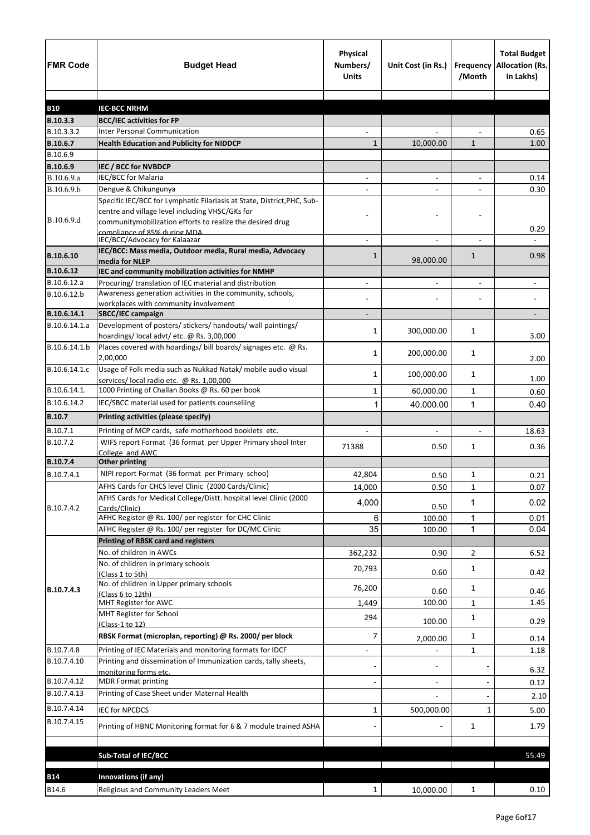| <b>FMR Code</b>           | <b>Budget Head</b>                                                                                                                                                                      | Physical<br>Numbers/<br><b>Units</b> | Unit Cost (in Rs.)       | Frequency<br>/Month | <b>Total Budget</b><br><b>Allocation (Rs.</b><br>In Lakhs) |
|---------------------------|-----------------------------------------------------------------------------------------------------------------------------------------------------------------------------------------|--------------------------------------|--------------------------|---------------------|------------------------------------------------------------|
|                           |                                                                                                                                                                                         |                                      |                          |                     |                                                            |
| <b>B10</b><br>B.10.3.3    | <b>IEC-BCC NRHM</b>                                                                                                                                                                     |                                      |                          |                     |                                                            |
| B.10.3.3.2                | <b>BCC/IEC activities for FP</b><br><b>Inter Personal Communication</b>                                                                                                                 |                                      |                          |                     | 0.65                                                       |
| B.10.6.7                  | <b>Health Education and Publicity for NIDDCP</b>                                                                                                                                        | 1                                    | 10,000.00                | $\mathbf{1}$        | 1.00                                                       |
| B.10.6.9                  |                                                                                                                                                                                         |                                      |                          |                     |                                                            |
| B.10.6.9                  | IEC / BCC for NVBDCP                                                                                                                                                                    |                                      |                          |                     |                                                            |
| B.10.6.9.a                | IEC/BCC for Malaria                                                                                                                                                                     | $\blacksquare$                       | $\blacksquare$           | $\blacksquare$      | 0.14                                                       |
| B.10.6.9.b                | Dengue & Chikungunya                                                                                                                                                                    |                                      |                          |                     | 0.30                                                       |
| B.10.6.9.d                | Specific IEC/BCC for Lymphatic Filariasis at State, District, PHC, Sub-<br>centre and village level including VHSC/GKs for<br>communitymobilization efforts to realize the desired drug |                                      |                          |                     | 0.29                                                       |
|                           | compliance of 85% during MDA.<br>IEC/BCC/Advocacy for Kalaazar                                                                                                                          |                                      |                          |                     |                                                            |
| B.10.6.10                 | IEC/BCC: Mass media, Outdoor media, Rural media, Advocacy<br>media for NLEP                                                                                                             | 1                                    | 98,000.00                | $\mathbf{1}$        | 0.98                                                       |
| B.10.6.12                 | IEC and community mobilization activities for NMHP                                                                                                                                      |                                      |                          |                     |                                                            |
| B.10.6.12.a               | Procuring/ translation of IEC material and distribution                                                                                                                                 |                                      |                          |                     |                                                            |
| B.10.6.12.b               | Awareness generation activities in the community, schools,                                                                                                                              |                                      |                          |                     |                                                            |
|                           | workplaces with community involvement                                                                                                                                                   |                                      |                          |                     |                                                            |
| B.10.6.14.1               | SBCC/IEC campaign                                                                                                                                                                       |                                      |                          |                     |                                                            |
| B.10.6.14.1.a             | Development of posters/ stickers/ handouts/ wall paintings/<br>hoardings/local advt/etc. @ Rs. 3,00,000                                                                                 | 1                                    | 300,000.00               | 1                   | 3.00                                                       |
| B.10.6.14.1.b             | Places covered with hoardings/ bill boards/ signages etc. @ Rs.<br>2,00,000                                                                                                             | 1                                    | 200,000.00               | 1                   | 2.00                                                       |
| B.10.6.14.1.c             | Usage of Folk media such as Nukkad Natak/ mobile audio visual<br>services/ local radio etc. @ Rs. 1,00,000                                                                              | 1                                    | 100,000.00               | 1                   | 1.00                                                       |
| B.10.6.14.1.              | 1000 Printing of Challan Books @ Rs. 60 per book                                                                                                                                        | 1                                    | 60,000.00                | $\mathbf{1}$        | 0.60                                                       |
| B.10.6.14.2               | IEC/SBCC material used for patients counselling                                                                                                                                         | 1                                    | 40,000.00                | 1                   | 0.40                                                       |
| <b>B.10.7</b>             | Printing activities (please specify)                                                                                                                                                    |                                      |                          |                     |                                                            |
| B.10.7.1                  | Printing of MCP cards, safe motherhood booklets etc.                                                                                                                                    |                                      |                          |                     | 18.63                                                      |
| B.10.7.2                  | WIFS report Format (36 format per Upper Primary shool Inter<br>College and AWC                                                                                                          | 71388                                | 0.50                     | 1                   | 0.36                                                       |
| B.10.7.4                  | <b>Other printing</b>                                                                                                                                                                   |                                      |                          |                     |                                                            |
| B.10.7.4.1                | NIPI report Format (36 format per Primary schoo)                                                                                                                                        | 42,804                               | 0.50                     | 1                   | 0.21                                                       |
|                           | AFHS Cards for CHCS level Clinic (2000 Cards/Clinic)                                                                                                                                    | 14,000                               | 0.50                     | $\mathbf{1}$        | 0.07                                                       |
|                           | AFHS Cards for Medical College/Distt. hospital level Clinic (2000                                                                                                                       | 4,000                                |                          | 1                   | 0.02                                                       |
| B.10.7.4.2                | Cards/Clinic)                                                                                                                                                                           |                                      | 0.50                     |                     |                                                            |
|                           | AFHC Register @ Rs. 100/ per register for CHC Clinic                                                                                                                                    | 6                                    | 100.00                   | $\mathbf{1}$        | 0.01                                                       |
|                           | AFHC Register @ Rs. 100/ per register for DC/MC Clinic                                                                                                                                  | 35                                   | 100.00                   | 1                   | 0.04                                                       |
|                           | <b>Printing of RBSK card and registers</b><br>No. of children in AWCs                                                                                                                   |                                      |                          |                     |                                                            |
|                           |                                                                                                                                                                                         | 362,232                              | 0.90                     | 2                   | 6.52                                                       |
|                           | No. of children in primary schools<br>(Class 1 to 5th)<br>No. of children in Upper primary schools                                                                                      | 70,793                               | 0.60                     | 1                   | 0.42                                                       |
| B.10.7.4.3                | (Class 6 to 12th)                                                                                                                                                                       | 76,200                               | 0.60                     | 1                   | 0.46                                                       |
|                           | MHT Register for AWC                                                                                                                                                                    | 1,449                                | 100.00                   | 1                   | 1.45                                                       |
|                           | MHT Register for School<br>(Class-1 to 12)                                                                                                                                              | 294                                  | 100.00                   | 1                   | 0.29                                                       |
|                           | RBSK Format (microplan, reporting) @ Rs. 2000/ per block                                                                                                                                | 7                                    | 2,000.00                 | $\mathbf 1$         | 0.14                                                       |
| B.10.7.4.8<br>B.10.7.4.10 | Printing of IEC Materials and monitoring formats for IDCF<br>Printing and dissemination of Immunization cards, tally sheets,                                                            | $\overline{\phantom{a}}$             |                          | 1                   | 1.18                                                       |
|                           | monitoring forms etc.                                                                                                                                                                   |                                      | $\overline{\phantom{a}}$ |                     | 6.32                                                       |
| B.10.7.4.12               | <b>MDR Format printing</b>                                                                                                                                                              |                                      | $\overline{\phantom{a}}$ |                     | 0.12                                                       |
| B.10.7.4.13               | Printing of Case Sheet under Maternal Health                                                                                                                                            |                                      |                          |                     | 2.10                                                       |
| B.10.7.4.14               | <b>IEC for NPCDCS</b>                                                                                                                                                                   | 1                                    | 500,000.00               | $\mathbf{1}$        | 5.00                                                       |
| B.10.7.4.15               | Printing of HBNC Monitoring format for 6 & 7 module trained ASHA                                                                                                                        |                                      |                          | $\mathbf{1}$        | 1.79                                                       |
|                           |                                                                                                                                                                                         |                                      |                          |                     |                                                            |
|                           | <b>Sub-Total of IEC/BCC</b>                                                                                                                                                             |                                      |                          |                     | 55.49                                                      |
| <b>B14</b>                | Innovations (if any)                                                                                                                                                                    |                                      |                          |                     |                                                            |
| B14.6                     | Religious and Community Leaders Meet                                                                                                                                                    | $\mathbf{1}$                         | 10,000.00                | $\mathbf{1}$        | 0.10                                                       |
|                           |                                                                                                                                                                                         |                                      |                          |                     |                                                            |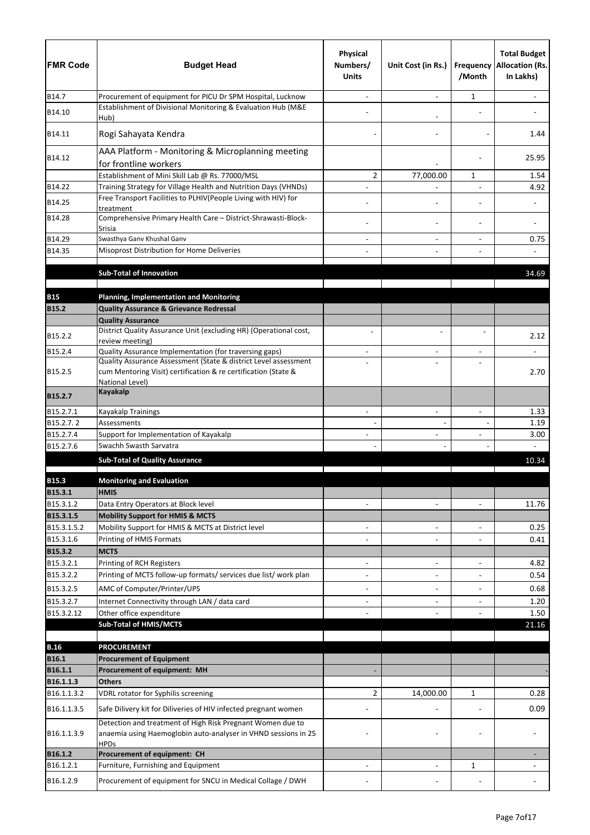| <b>FMR Code</b>            | <b>Budget Head</b>                                                                                                                          | <b>Physical</b><br>Numbers/<br><b>Units</b> | Unit Cost (in Rs.)       | Frequency<br>/Month      | <b>Total Budget</b><br><b>Allocation (Rs.</b><br>In Lakhs) |
|----------------------------|---------------------------------------------------------------------------------------------------------------------------------------------|---------------------------------------------|--------------------------|--------------------------|------------------------------------------------------------|
| B14.7                      | Procurement of equipment for PICU Dr SPM Hospital, Lucknow                                                                                  |                                             |                          | 1                        |                                                            |
| B14.10                     | Establishment of Divisional Monitoring & Evaluation Hub (M&E<br>Hub)                                                                        |                                             |                          |                          |                                                            |
| B14.11                     | Rogi Sahayata Kendra                                                                                                                        |                                             |                          |                          | 1.44                                                       |
| B14.12                     | AAA Platform - Monitoring & Microplanning meeting<br>for frontline workers                                                                  |                                             |                          |                          | 25.95                                                      |
|                            | Establishment of Mini Skill Lab @ Rs. 77000/MSL                                                                                             | $\overline{2}$                              | 77,000.00                | 1                        | 1.54                                                       |
| B14.22                     | Training Strategy for Village Health and Nutrition Days (VHNDs)                                                                             |                                             |                          |                          | 4.92                                                       |
| B14.25                     | Free Transport Facilities to PLHIV(People Living with HIV) for                                                                              |                                             |                          |                          |                                                            |
| B14.28                     | treatment<br>Comprehensive Primary Health Care - District-Shrawasti-Block-                                                                  |                                             | $\overline{\phantom{a}}$ |                          |                                                            |
| B14.29                     | Srisia<br>Swasthya Ganv Khushal Ganv                                                                                                        |                                             | $\overline{\phantom{a}}$ |                          | 0.75                                                       |
| B14.35                     | Misoprost Distribution for Home Deliveries                                                                                                  |                                             |                          |                          |                                                            |
|                            |                                                                                                                                             |                                             |                          |                          |                                                            |
|                            | <b>Sub-Total of Innovation</b>                                                                                                              |                                             |                          |                          | 34.69                                                      |
|                            |                                                                                                                                             |                                             |                          |                          |                                                            |
| <b>B15</b><br><b>B15.2</b> | <b>Planning, Implementation and Monitoring</b><br><b>Quality Assurance &amp; Grievance Redressal</b>                                        |                                             |                          |                          |                                                            |
|                            | <b>Quality Assurance</b>                                                                                                                    |                                             |                          |                          |                                                            |
| B15.2.2                    | District Quality Assurance Unit (excluding HR) (Operational cost,                                                                           |                                             |                          |                          | 2.12                                                       |
| B15.2.4                    | review meeting)<br>Quality Assurance Implementation (for traversing gaps)                                                                   |                                             |                          |                          |                                                            |
|                            | Quality Assurance Assessment (State & district Level assessment                                                                             |                                             | $\overline{\phantom{0}}$ |                          |                                                            |
| B15.2.5                    | cum Mentoring Visit) certification & re certification (State &<br>National Level)                                                           |                                             |                          |                          | 2.70                                                       |
| B15.2.7                    | <b>Kayakalp</b>                                                                                                                             |                                             |                          |                          |                                                            |
| B15.2.7.1                  | Kayakalp Trainings                                                                                                                          |                                             |                          |                          | 1.33                                                       |
| B15.2.7.2                  | Assessments                                                                                                                                 |                                             |                          |                          | 1.19                                                       |
| B15.2.7.4<br>B15.2.7.6     | Support for Implementation of Kayakalp<br>Swachh Swasth Sarvatra                                                                            | $\overline{\phantom{0}}$                    | $\overline{a}$           |                          | 3.00                                                       |
|                            | <b>Sub-Total of Quality Assurance</b>                                                                                                       |                                             |                          |                          | 10.34                                                      |
|                            |                                                                                                                                             |                                             |                          |                          |                                                            |
| <b>B15.3</b>               | <b>Monitoring and Evaluation</b>                                                                                                            |                                             |                          |                          |                                                            |
| B15.3.1                    | <b>HMIS</b>                                                                                                                                 |                                             |                          |                          |                                                            |
| B15.3.1.2<br>B15.3.1.5     | Data Entry Operators at Block level                                                                                                         | $\overline{a}$                              | $\blacksquare$           | $\overline{\phantom{a}}$ | 11.76                                                      |
| B15.3.1.5.2                | <b>Mobility Support for HMIS &amp; MCTS</b><br>Mobility Support for HMIS & MCTS at District level                                           | $\overline{\phantom{a}}$                    | $\overline{\phantom{a}}$ | $\overline{a}$           | 0.25                                                       |
| B15.3.1.6                  | Printing of HMIS Formats                                                                                                                    |                                             | $\overline{\phantom{a}}$ |                          | 0.41                                                       |
| B15.3.2                    | <b>MCTS</b>                                                                                                                                 |                                             |                          |                          |                                                            |
| B15.3.2.1                  | Printing of RCH Registers                                                                                                                   |                                             | $\blacksquare$           | $\overline{a}$           | 4.82                                                       |
| B15.3.2.2                  | Printing of MCTS follow-up formats/ services due list/ work plan                                                                            |                                             | $\overline{\phantom{a}}$ |                          | 0.54                                                       |
| B15.3.2.5                  | AMC of Computer/Printer/UPS                                                                                                                 | $\overline{\phantom{0}}$                    |                          |                          | 0.68                                                       |
| B15.3.2.7                  | Internet Connectivity through LAN / data card                                                                                               | $\overline{\phantom{0}}$                    | $\blacksquare$           | $\overline{\phantom{a}}$ | 1.20                                                       |
| B15.3.2.12                 | Other office expenditure                                                                                                                    |                                             |                          |                          | 1.50                                                       |
|                            | <b>Sub-Total of HMIS/MCTS</b>                                                                                                               |                                             |                          |                          | 21.16                                                      |
| <b>B.16</b>                | <b>PROCUREMENT</b>                                                                                                                          |                                             |                          |                          |                                                            |
| <b>B16.1</b>               | <b>Procurement of Equipment</b>                                                                                                             |                                             |                          |                          |                                                            |
| B16.1.1                    | Procurement of equipment: MH                                                                                                                |                                             |                          |                          |                                                            |
| B16.1.1.3                  | <b>Others</b>                                                                                                                               |                                             |                          |                          |                                                            |
| B16.1.1.3.2                | VDRL rotator for Syphilis screening                                                                                                         | 2                                           | 14,000.00                | 1                        | 0.28                                                       |
| B16.1.1.3.5                | Safe Dilivery kit for Diliveries of HIV infected pregnant women                                                                             |                                             |                          |                          | 0.09                                                       |
| B16.1.1.3.9                | Detection and treatment of High Risk Pregnant Women due to<br>anaemia using Haemoglobin auto-analyser in VHND sessions in 25<br><b>HPDs</b> |                                             |                          |                          |                                                            |
| B16.1.2                    | Procurement of equipment: CH                                                                                                                |                                             |                          |                          |                                                            |
| B16.1.2.1                  | Furniture, Furnishing and Equipment                                                                                                         |                                             |                          | 1                        |                                                            |
| B16.1.2.9                  | Procurement of equipment for SNCU in Medical Collage / DWH                                                                                  |                                             |                          |                          |                                                            |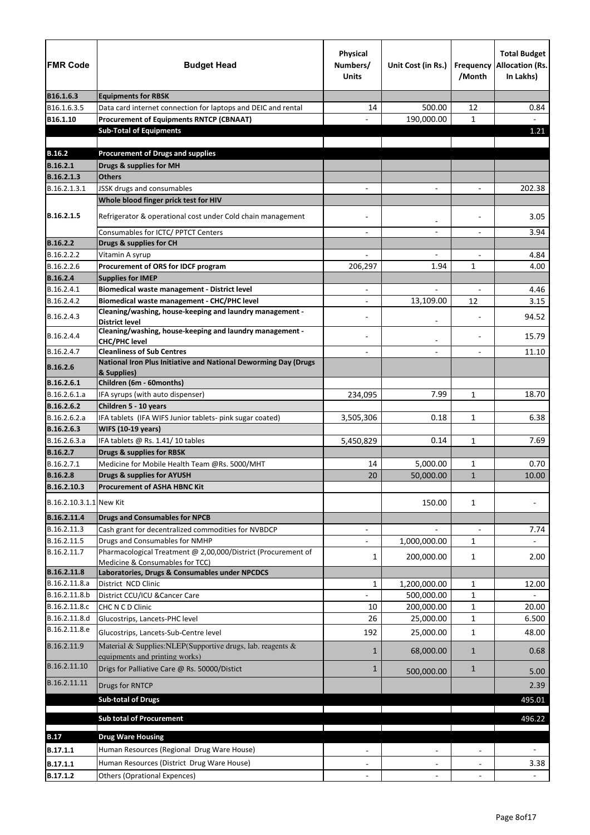| <b>FMR Code</b>                 | <b>Budget Head</b>                                                                                   | <b>Physical</b><br>Numbers/<br><b>Units</b> | Unit Cost (in Rs.)       | Frequency<br>/Month      | <b>Total Budget</b><br><b>Allocation (Rs.</b><br>In Lakhs) |
|---------------------------------|------------------------------------------------------------------------------------------------------|---------------------------------------------|--------------------------|--------------------------|------------------------------------------------------------|
| B16.1.6.3                       | <b>Equipments for RBSK</b>                                                                           |                                             |                          |                          |                                                            |
| B16.1.6.3.5                     | Data card internet connection for laptops and DEIC and rental                                        | 14                                          | 500.00                   | 12                       | 0.84                                                       |
| B16.1.10                        | <b>Procurement of Equipments RNTCP (CBNAAT)</b>                                                      |                                             | 190,000.00               | $\mathbf{1}$             | $\blacksquare$                                             |
|                                 | <b>Sub-Total of Equipments</b>                                                                       |                                             |                          |                          | 1.21                                                       |
|                                 |                                                                                                      |                                             |                          |                          |                                                            |
| <b>B.16.2</b>                   | <b>Procurement of Drugs and supplies</b>                                                             |                                             |                          |                          |                                                            |
| <b>B.16.2.1</b>                 | Drugs & supplies for MH                                                                              |                                             |                          |                          |                                                            |
| B.16.2.1.3                      | <b>Others</b>                                                                                        |                                             |                          |                          |                                                            |
| B.16.2.1.3.1                    | JSSK drugs and consumables                                                                           |                                             |                          |                          | 202.38                                                     |
|                                 | Whole blood finger prick test for HIV                                                                |                                             |                          |                          |                                                            |
| B.16.2.1.5                      | Refrigerator & operational cost under Cold chain management                                          |                                             | $\overline{\phantom{a}}$ |                          | 3.05                                                       |
|                                 | Consumables for ICTC/ PPTCT Centers                                                                  |                                             |                          |                          | 3.94                                                       |
| <b>B.16.2.2</b>                 | Drugs & supplies for CH                                                                              |                                             |                          |                          |                                                            |
| B.16.2.2.2                      | Vitamin A syrup                                                                                      |                                             | $\qquad \qquad -$        |                          | 4.84                                                       |
| B.16.2.2.6                      | Procurement of ORS for IDCF program                                                                  | 206,297                                     | 1.94                     | $\mathbf{1}$             | 4.00                                                       |
| <b>B.16.2.4</b>                 | <b>Supplies for IMEP</b>                                                                             |                                             |                          |                          |                                                            |
| B.16.2.4.1                      | Biomedical waste management - District level                                                         | $\overline{\phantom{a}}$                    | $\overline{\phantom{0}}$ | $\overline{\phantom{a}}$ | 4.46                                                       |
| B.16.2.4.2                      | <b>Biomedical waste management - CHC/PHC level</b>                                                   |                                             | 13,109.00                | 12                       | 3.15                                                       |
| B.16.2.4.3                      | Cleaning/washing, house-keeping and laundry management -<br><b>District level</b>                    |                                             |                          |                          | 94.52                                                      |
| B.16.2.4.4                      | Cleaning/washing, house-keeping and laundry management -                                             |                                             |                          |                          | 15.79                                                      |
|                                 | <b>CHC/PHC level</b>                                                                                 |                                             |                          |                          |                                                            |
| B.16.2.4.7                      | <b>Cleanliness of Sub Centres</b><br>National Iron Plus Initiative and National Deworming Day (Drugs |                                             |                          |                          | 11.10                                                      |
| <b>B.16.2.6</b>                 | & Supplies)                                                                                          |                                             |                          |                          |                                                            |
| B.16.2.6.1                      | Children (6m - 60months)                                                                             |                                             |                          |                          |                                                            |
| B.16.2.6.1.a                    | IFA syrups (with auto dispenser)                                                                     | 234,095                                     | 7.99                     | $\mathbf{1}$             | 18.70                                                      |
| B.16.2.6.2                      | Children 5 - 10 years                                                                                |                                             |                          |                          |                                                            |
| B.16.2.6.2.a                    | IFA tablets (IFA WIFS Junior tablets- pink sugar coated)                                             | 3,505,306                                   | 0.18                     | $\mathbf{1}$             | 6.38                                                       |
| B.16.2.6.3                      | <b>WIFS (10-19 years)</b>                                                                            |                                             |                          |                          |                                                            |
| B.16.2.6.3.a<br><b>B.16.2.7</b> | IFA tablets @ Rs. 1.41/10 tables<br><b>Drugs &amp; supplies for RBSK</b>                             | 5,450,829                                   | 0.14                     | 1                        | 7.69                                                       |
| B.16.2.7.1                      | Medicine for Mobile Health Team @Rs. 5000/MHT                                                        | 14                                          | 5,000.00                 | 1                        | 0.70                                                       |
| <b>B.16.2.8</b>                 | <b>Drugs &amp; supplies for AYUSH</b>                                                                | 20                                          | 50,000.00                | $\mathbf{1}$             | 10.00                                                      |
| B.16.2.10.3                     | <b>Procurement of ASHA HBNC Kit</b>                                                                  |                                             |                          |                          |                                                            |
| B.16.2.10.3.1.1 New Kit         |                                                                                                      |                                             | 150.00                   | $\mathbf{1}$             |                                                            |
|                                 |                                                                                                      |                                             |                          |                          |                                                            |
| B.16.2.11.4<br>B.16.2.11.3      | <b>Drugs and Consumables for NPCB</b>                                                                |                                             |                          |                          |                                                            |
| B.16.2.11.5                     | Cash grant for decentralized commodities for NVBDCP<br>Drugs and Consumables for NMHP                |                                             |                          |                          | 7.74                                                       |
| B.16.2.11.7                     | Pharmacological Treatment @ 2,00,000/District (Procurement of                                        |                                             | 1,000,000.00             | $\mathbf{1}$             |                                                            |
|                                 | Medicine & Consumables for TCC)                                                                      | 1                                           | 200,000.00               | $\mathbf{1}$             | 2.00                                                       |
| B.16.2.11.8                     | Laboratories, Drugs & Consumables under NPCDCS                                                       |                                             |                          |                          |                                                            |
| B.16.2.11.8.a                   | District NCD Clinic                                                                                  | $\mathbf{1}$                                | 1,200,000.00             | $\mathbf{1}$             | 12.00                                                      |
| B.16.2.11.8.b                   | District CCU/ICU & Cancer Care                                                                       |                                             | 500,000.00               | $\mathbf{1}$             |                                                            |
| B.16.2.11.8.c                   | CHC N C D Clinic                                                                                     | 10                                          | 200,000.00               | 1                        | 20.00                                                      |
| B.16.2.11.8.d                   | Glucostrips, Lancets-PHC level                                                                       | 26                                          | 25,000.00                | 1                        | 6.500                                                      |
| B.16.2.11.8.e                   | Glucostrips, Lancets-Sub-Centre level                                                                | 192                                         | 25,000.00                | $\mathbf{1}$             | 48.00                                                      |
| B.16.2.11.9                     | Material & Supplies: NLEP(Supportive drugs, lab. reagents &<br>equipments and printing works)        | 1                                           | 68,000.00                | $\mathbf{1}$             | 0.68                                                       |
| B.16.2.11.10                    | Drigs for Palliative Care @ Rs. 50000/Distict                                                        | $\mathbf{1}$                                | 500,000.00               | $\mathbf{1}$             | 5.00                                                       |
| B.16.2.11.11                    | Drugs for RNTCP                                                                                      |                                             |                          |                          | 2.39                                                       |
|                                 | <b>Sub-total of Drugs</b>                                                                            |                                             |                          |                          | 495.01                                                     |
|                                 | <b>Sub total of Procurement</b>                                                                      |                                             |                          |                          | 496.22                                                     |
|                                 |                                                                                                      |                                             |                          |                          |                                                            |
| <b>B.17</b>                     | <b>Drug Ware Housing</b>                                                                             |                                             |                          |                          |                                                            |
| B.17.1.1                        | Human Resources (Regional Drug Ware House)                                                           |                                             |                          |                          |                                                            |
| B.17.1.1                        | Human Resources (District Drug Ware House)                                                           |                                             |                          |                          | 3.38                                                       |
| B.17.1.2                        | <b>Others (Oprational Expences)</b>                                                                  |                                             |                          |                          |                                                            |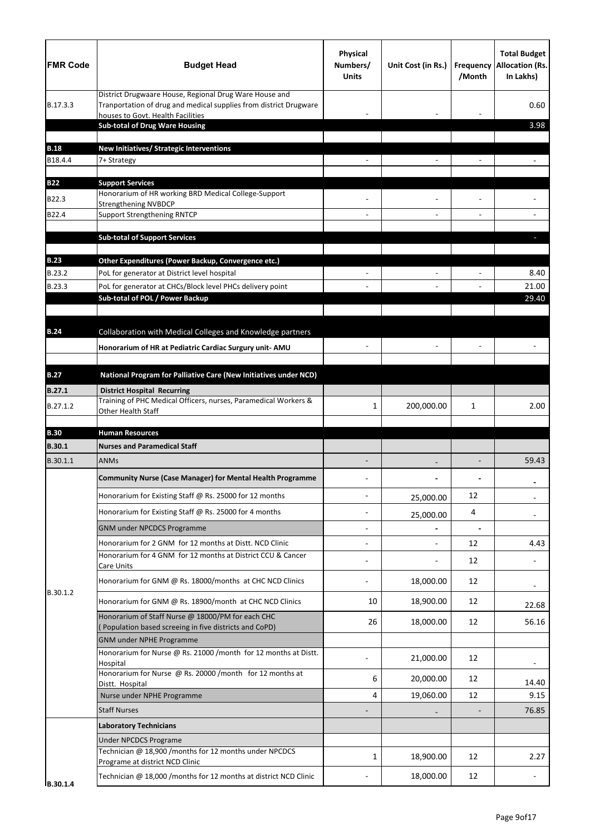| <b>FMR Code</b> | <b>Budget Head</b>                                                                                                                                               | <b>Physical</b><br>Numbers/<br><b>Units</b> | Unit Cost (in Rs.) | <b>Frequency</b><br>/Month | <b>Total Budget</b><br><b>Allocation (Rs.</b><br>In Lakhs) |
|-----------------|------------------------------------------------------------------------------------------------------------------------------------------------------------------|---------------------------------------------|--------------------|----------------------------|------------------------------------------------------------|
| B.17.3.3        | District Drugwaare House, Regional Drug Ware House and<br>Tranportation of drug and medical supplies from district Drugware<br>houses to Govt. Health Facilities |                                             |                    |                            | 0.60                                                       |
|                 | <b>Sub-total of Drug Ware Housing</b>                                                                                                                            |                                             |                    |                            | 3.98                                                       |
| <b>B.18</b>     | New Initiatives/ Strategic Interventions                                                                                                                         |                                             |                    |                            |                                                            |
| B18.4.4         | 7+ Strategy                                                                                                                                                      |                                             |                    |                            |                                                            |
| <b>B22</b>      | <b>Support Services</b>                                                                                                                                          |                                             |                    |                            |                                                            |
| B22.3           | Honorarium of HR working BRD Medical College-Support                                                                                                             |                                             |                    |                            |                                                            |
| B22.4           | <b>Strengthening NVBDCP</b><br><b>Support Strengthening RNTCP</b>                                                                                                |                                             |                    |                            |                                                            |
|                 |                                                                                                                                                                  |                                             |                    |                            |                                                            |
|                 | <b>Sub-total of Support Services</b>                                                                                                                             |                                             |                    |                            |                                                            |
| <b>B.23</b>     | Other Expenditures (Power Backup, Convergence etc.)                                                                                                              |                                             |                    |                            |                                                            |
| B.23.2          | PoL for generator at District level hospital                                                                                                                     |                                             |                    |                            | 8.40                                                       |
| B.23.3          | PoL for generator at CHCs/Block level PHCs delivery point                                                                                                        |                                             |                    |                            | 21.00                                                      |
|                 | Sub-total of POL / Power Backup                                                                                                                                  |                                             |                    |                            | 29.40                                                      |
|                 |                                                                                                                                                                  |                                             |                    |                            |                                                            |
| <b>B.24</b>     | Collaboration with Medical Colleges and Knowledge partners                                                                                                       |                                             |                    |                            |                                                            |
|                 | Honorarium of HR at Pediatric Cardiac Surgury unit- AMU                                                                                                          |                                             |                    |                            |                                                            |
| <b>B.27</b>     | National Program for Palliative Care (New Initiatives under NCD)                                                                                                 |                                             |                    |                            |                                                            |
| <b>B.27.1</b>   | <b>District Hospital Recurring</b>                                                                                                                               |                                             |                    |                            |                                                            |
| B.27.1.2        | Training of PHC Medical Officers, nurses, Paramedical Workers &<br>Other Health Staff                                                                            | 1                                           | 200,000.00         | 1                          | 2.00                                                       |
| <b>B.30</b>     | <b>Human Resources</b>                                                                                                                                           |                                             |                    |                            |                                                            |
| <b>B.30.1</b>   | <b>Nurses and Paramedical Staff</b>                                                                                                                              |                                             |                    |                            |                                                            |
| B.30.1.1        | <b>ANMs</b>                                                                                                                                                      |                                             |                    | $\overline{\phantom{a}}$   | 59.43                                                      |
|                 | <b>Community Nurse (Case Manager) for Mental Health Programme</b>                                                                                                |                                             |                    |                            |                                                            |
|                 | Honorarium for Existing Staff @ Rs. 25000 for 12 months                                                                                                          |                                             | 25,000.00          | 12                         |                                                            |
|                 | Honorarium for Existing Staff @ Rs. 25000 for 4 months                                                                                                           |                                             | 25,000.00          | 4                          |                                                            |
|                 | <b>GNM under NPCDCS Programme</b>                                                                                                                                |                                             |                    | $\blacksquare$             |                                                            |
|                 | Honorarium for 2 GNM for 12 months at Distt. NCD Clinic                                                                                                          |                                             |                    | 12                         | 4.43                                                       |
|                 | Honorarium for 4 GNM for 12 months at District CCU & Cancer<br>Care Units                                                                                        |                                             |                    | 12                         |                                                            |
| B.30.1.2        | Honorarium for GNM @ Rs. 18000/months at CHC NCD Clinics                                                                                                         |                                             | 18,000.00          | 12                         |                                                            |
|                 | Honorarium for GNM @ Rs. 18900/month at CHC NCD Clinics                                                                                                          | 10                                          | 18,900.00          | 12                         | 22.68                                                      |
|                 | Honorarium of Staff Nurse @ 18000/PM for each CHC<br>Population based screeing in five districts and CoPD)                                                       | 26                                          | 18,000.00          | 12                         | 56.16                                                      |
|                 | <b>GNM under NPHE Programme</b>                                                                                                                                  |                                             |                    |                            |                                                            |
|                 | Honorarium for Nurse @ Rs. 21000 /month for 12 months at Distt.<br>Hospital                                                                                      |                                             | 21,000.00          | 12                         |                                                            |
|                 | Honorarium for Nurse @ Rs. 20000 /month for 12 months at                                                                                                         | 6                                           | 20,000.00          | 12                         |                                                            |
|                 | Distt. Hospital<br>Nurse under NPHE Programme                                                                                                                    | 4                                           | 19,060.00          | 12                         | 14.40<br>9.15                                              |
|                 | <b>Staff Nurses</b>                                                                                                                                              |                                             |                    |                            | 76.85                                                      |
|                 | <b>Laboratory Technicians</b>                                                                                                                                    |                                             |                    |                            |                                                            |
|                 | <b>Under NPCDCS Programe</b>                                                                                                                                     |                                             |                    |                            |                                                            |
|                 | Technician @ 18,900 /months for 12 months under NPCDCS                                                                                                           | 1                                           | 18,900.00          | 12                         | 2.27                                                       |
|                 | Programe at district NCD Clinic                                                                                                                                  |                                             |                    |                            |                                                            |
| B.30.1.4        | Technician @ 18,000 /months for 12 months at district NCD Clinic                                                                                                 |                                             | 18,000.00          | 12                         |                                                            |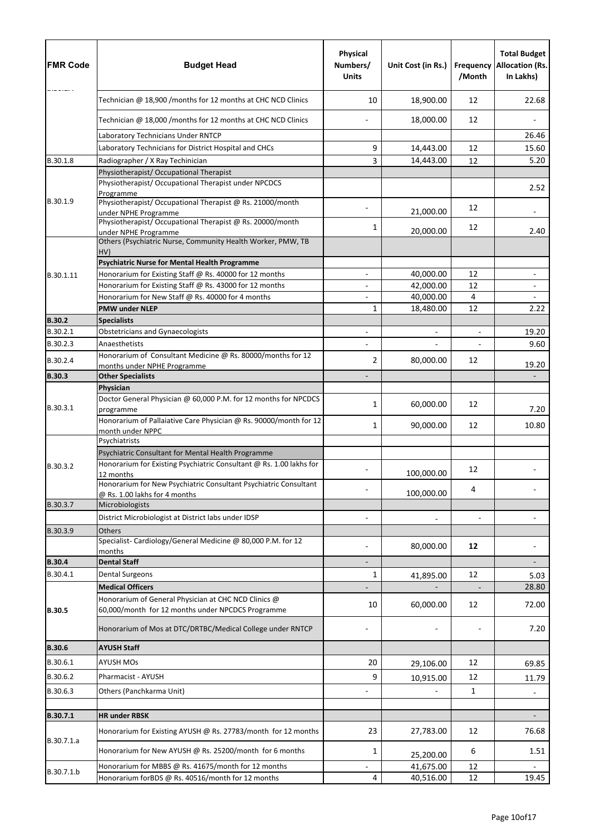| <b>FMR Code</b>      | <b>Budget Head</b>                                                                                                        | <b>Physical</b><br>Numbers/<br><b>Units</b> | Unit Cost (in Rs.) | <b>Frequency</b><br>/Month | <b>Total Budget</b><br><b>Allocation (Rs.</b><br>In Lakhs) |
|----------------------|---------------------------------------------------------------------------------------------------------------------------|---------------------------------------------|--------------------|----------------------------|------------------------------------------------------------|
|                      | Technician @ 18,900 /months for 12 months at CHC NCD Clinics                                                              | 10                                          | 18,900.00          | 12                         | 22.68                                                      |
|                      | Technician @ 18,000 /months for 12 months at CHC NCD Clinics                                                              |                                             | 18,000.00          | 12                         |                                                            |
|                      | Laboratory Technicians Under RNTCP                                                                                        |                                             |                    |                            | 26.46                                                      |
|                      | Laboratory Technicians for District Hospital and CHCs                                                                     | 9                                           | 14,443.00          | 12                         | 15.60                                                      |
| B.30.1.8             | Radiographer / X Ray Techinician                                                                                          | 3                                           | 14,443.00          | 12                         | 5.20                                                       |
|                      | Physiotherapist/ Occupational Therapist                                                                                   |                                             |                    |                            |                                                            |
|                      | Physiotherapist/ Occupational Therapist under NPCDCS<br>Programme                                                         |                                             |                    |                            | 2.52                                                       |
| B.30.1.9             | Physiotherapist/ Occupational Therapist @ Rs. 21000/month<br>under NPHE Programme                                         |                                             | 21,000.00          | 12                         | $\overline{\phantom{a}}$                                   |
|                      | Physiotherapist/Occupational Therapist @ Rs. 20000/month<br>under NPHE Programme                                          | 1                                           | 20,000.00          | 12                         | 2.40                                                       |
|                      | Others (Psychiatric Nurse, Community Health Worker, PMW, TB<br>HV)                                                        |                                             |                    |                            |                                                            |
|                      | <b>Psychiatric Nurse for Mental Health Programme</b>                                                                      |                                             |                    |                            |                                                            |
| B.30.1.11            | Honorarium for Existing Staff @ Rs. 40000 for 12 months                                                                   |                                             | 40,000.00          | 12                         |                                                            |
|                      | Honorarium for Existing Staff @ Rs. 43000 for 12 months                                                                   |                                             | 42,000.00          | 12                         |                                                            |
|                      | Honorarium for New Staff @ Rs. 40000 for 4 months                                                                         |                                             | 40,000.00          | $\overline{4}$             |                                                            |
|                      | <b>PMW under NLEP</b>                                                                                                     | 1                                           | 18,480.00          | 12                         | 2.22                                                       |
| <b>B.30.2</b>        | <b>Specialists</b>                                                                                                        |                                             |                    |                            |                                                            |
| B.30.2.1             | <b>Obstetricians and Gynaecologists</b>                                                                                   |                                             |                    | $\overline{\phantom{a}}$   | 19.20                                                      |
| B.30.2.3<br>B.30.2.4 | Anaesthetists<br>Honorarium of Consultant Medicine @ Rs. 80000/months for 12                                              | 2                                           | 80,000.00          | 12                         | 9.60                                                       |
|                      | months under NPHE Programme                                                                                               |                                             |                    |                            | 19.20                                                      |
| <b>B.30.3</b>        | <b>Other Specialists</b>                                                                                                  |                                             |                    |                            |                                                            |
|                      | Physician<br>Doctor General Physician @ 60,000 P.M. for 12 months for NPCDCS                                              |                                             |                    |                            |                                                            |
| B.30.3.1             | programme                                                                                                                 | $\mathbf{1}$                                | 60,000.00          | 12                         | 7.20                                                       |
|                      | Honorarium of Pallaiative Care Physician @ Rs. 90000/month for 12<br>month under NPPC                                     | 1                                           | 90,000.00          | 12                         | 10.80                                                      |
|                      | Psychiatrists                                                                                                             |                                             |                    |                            |                                                            |
| B.30.3.2             | Psychiatric Consultant for Mental Health Programme<br>Honorarium for Existing Psychiatric Consultant @ Rs. 1.00 lakhs for |                                             |                    | 12                         |                                                            |
|                      | 12 months<br>Honorarium for New Psychiatric Consultant Psychiatric Consultant                                             |                                             | 100,000.00         | 4                          |                                                            |
|                      | @ Rs. 1.00 lakhs for 4 months                                                                                             |                                             | 100,000.00         |                            |                                                            |
| B.30.3.7             | Microbiologists                                                                                                           |                                             |                    |                            |                                                            |
|                      | District Microbiologist at District labs under IDSP                                                                       |                                             |                    |                            |                                                            |
| B.30.3.9             | Others<br>Specialist-Cardiology/General Medicine @ 80,000 P.M. for 12                                                     |                                             | 80,000.00          | 12                         |                                                            |
| <b>B.30.4</b>        | months<br><b>Dental Staff</b>                                                                                             |                                             |                    |                            |                                                            |
| B.30.4.1             | <b>Dental Surgeons</b>                                                                                                    | $\mathbf{1}$                                |                    | 12                         | 5.03                                                       |
|                      | <b>Medical Officers</b>                                                                                                   |                                             | 41,895.00          |                            | 28.80                                                      |
| <b>B.30.5</b>        | Honorarium of General Physician at CHC NCD Clinics @<br>60,000/month for 12 months under NPCDCS Programme                 | 10                                          | 60,000.00          | 12                         | 72.00                                                      |
|                      | Honorarium of Mos at DTC/DRTBC/Medical College under RNTCP                                                                |                                             |                    |                            | 7.20                                                       |
| <b>B.30.6</b>        | <b>AYUSH Staff</b>                                                                                                        |                                             |                    |                            |                                                            |
| B.30.6.1             | <b>AYUSH MOs</b>                                                                                                          | 20                                          | 29,106.00          | 12                         | 69.85                                                      |
| B.30.6.2             | Pharmacist - AYUSH                                                                                                        | 9                                           |                    | 12                         |                                                            |
| B.30.6.3             | Others (Panchkarma Unit)                                                                                                  |                                             | 10,915.00          | $\mathbf{1}$               | 11.79                                                      |
|                      |                                                                                                                           |                                             |                    |                            |                                                            |
| B.30.7.1             | <b>HR under RBSK</b>                                                                                                      |                                             |                    |                            |                                                            |
| B.30.7.1.a           | Honorarium for Existing AYUSH @ Rs. 27783/month for 12 months                                                             | 23                                          | 27,783.00          | 12                         | 76.68                                                      |
|                      | Honorarium for New AYUSH @ Rs. 25200/month for 6 months                                                                   | 1                                           | 25,200.00          | 6                          | 1.51                                                       |
| B.30.7.1.b           | Honorarium for MBBS @ Rs. 41675/month for 12 months                                                                       |                                             | 41,675.00          | 12                         |                                                            |
|                      | Honorarium forBDS @ Rs. 40516/month for 12 months                                                                         | 4                                           | 40,516.00          | 12                         | 19.45                                                      |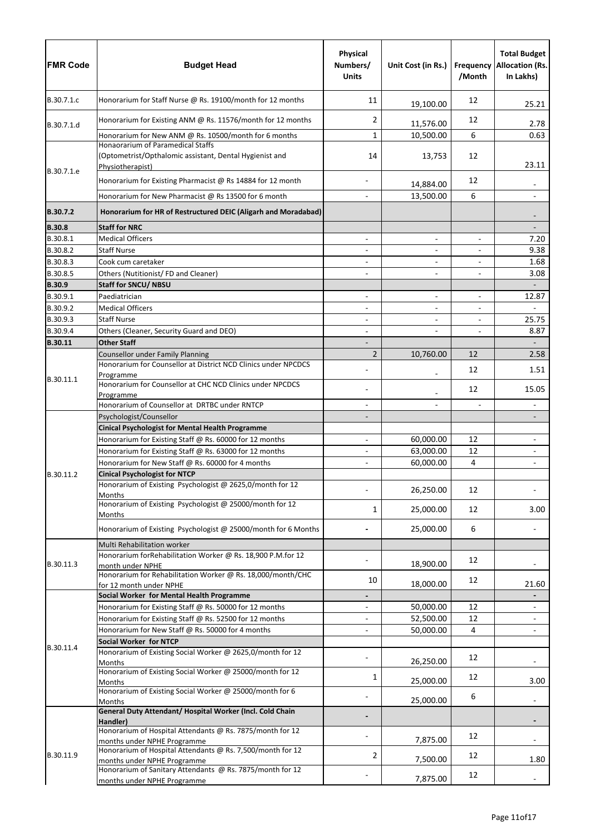| <b>FMR Code</b> | <b>Budget Head</b>                                                                                                      | <b>Physical</b><br>Numbers/<br><b>Units</b> | Unit Cost (in Rs.)       | <b>Frequency</b><br>/Month | <b>Total Budget</b><br><b>Allocation (Rs.</b><br>In Lakhs) |
|-----------------|-------------------------------------------------------------------------------------------------------------------------|---------------------------------------------|--------------------------|----------------------------|------------------------------------------------------------|
| B.30.7.1.c      | Honorarium for Staff Nurse @ Rs. 19100/month for 12 months                                                              | 11                                          | 19,100.00                | 12                         | 25.21                                                      |
| B.30.7.1.d      | Honorarium for Existing ANM @ Rs. 11576/month for 12 months                                                             | 2                                           | 11,576.00                | 12                         | 2.78                                                       |
|                 | Honorarium for New ANM @ Rs. 10500/month for 6 months                                                                   | $\mathbf{1}$                                | 10,500.00                | 6                          | 0.63                                                       |
| B.30.7.1.e      | <b>Honaorarium of Paramedical Staffs</b><br>(Optometrist/Opthalomic assistant, Dental Hygienist and<br>Physiotherapist) | 14                                          | 13,753                   | 12                         | 23.11                                                      |
|                 | Honorarium for Existing Pharmacist @ Rs 14884 for 12 month                                                              |                                             | 14,884.00                | 12                         |                                                            |
|                 | Honorarium for New Pharmacist @ Rs 13500 for 6 month                                                                    |                                             | 13,500.00                | 6                          |                                                            |
| B.30.7.2        | Honorarium for HR of Restructured DEIC (Aligarh and Moradabad)                                                          |                                             |                          |                            |                                                            |
| <b>B.30.8</b>   | <b>Staff for NRC</b>                                                                                                    |                                             |                          |                            |                                                            |
| B.30.8.1        | <b>Medical Officers</b>                                                                                                 |                                             |                          | $\overline{\phantom{a}}$   | 7.20                                                       |
| B.30.8.2        | <b>Staff Nurse</b>                                                                                                      |                                             |                          | $\overline{\phantom{a}}$   | 9.38                                                       |
| B.30.8.3        | Cook cum caretaker                                                                                                      |                                             |                          |                            | 1.68                                                       |
| B.30.8.5        | Others (Nutitionist/FD and Cleaner)                                                                                     |                                             |                          |                            | 3.08                                                       |
| <b>B.30.9</b>   | <b>Staff for SNCU/ NBSU</b>                                                                                             |                                             |                          |                            |                                                            |
| B.30.9.1        | Paediatrician                                                                                                           |                                             |                          | $\overline{\phantom{a}}$   | 12.87                                                      |
| B.30.9.2        | <b>Medical Officers</b>                                                                                                 |                                             | $\overline{\phantom{a}}$ |                            |                                                            |
| B.30.9.3        | <b>Staff Nurse</b>                                                                                                      |                                             | $\overline{\phantom{0}}$ | $\overline{\phantom{a}}$   | 25.75                                                      |
| B.30.9.4        | Others (Cleaner, Security Guard and DEO)<br><b>Other Staff</b>                                                          | $\overline{\phantom{a}}$                    |                          | $\overline{\phantom{a}}$   | 8.87                                                       |
| <b>B.30.11</b>  | <b>Counsellor under Family Planning</b>                                                                                 | $\overline{2}$                              | 10,760.00                | 12                         | 2.58                                                       |
|                 | Honorarium for Counsellor at District NCD Clinics under NPCDCS<br>Programme                                             |                                             |                          | 12                         | 1.51                                                       |
| B.30.11.1       | Honorarium for Counsellor at CHC NCD Clinics under NPCDCS<br>Programme                                                  |                                             |                          | 12                         | 15.05                                                      |
|                 | Honorarium of Counsellor at DRTBC under RNTCP                                                                           |                                             |                          |                            |                                                            |
|                 | Psychologist/Counsellor                                                                                                 |                                             |                          |                            |                                                            |
|                 | <b>Cinical Psychologist for Mental Health Programme</b>                                                                 |                                             |                          |                            |                                                            |
|                 | Honorarium for Existing Staff @ Rs. 60000 for 12 months                                                                 |                                             | 60,000.00                | 12                         |                                                            |
|                 | Honorarium for Existing Staff @ Rs. 63000 for 12 months                                                                 |                                             | 63,000.00                | 12                         |                                                            |
|                 | Honorarium for New Staff @ Rs. 60000 for 4 months                                                                       |                                             | 60,000.00                | 4                          |                                                            |
| B.30.11.2       | <b>Cinical Psychologist for NTCP</b><br>Honorarium of Existing Psychologist @ 2625,0/month for 12                       |                                             |                          |                            |                                                            |
|                 | Months<br>Honorarium of Existing Psychologist @ 25000/month for 12                                                      |                                             | 26,250.00                | 12                         |                                                            |
|                 | Months                                                                                                                  | 1                                           | 25,000.00                | 12                         | 3.00                                                       |
|                 | Honorarium of Existing Psychologist @ 25000/month for 6 Months                                                          |                                             | 25,000.00                | 6                          |                                                            |
|                 | Multi Rehabilitation worker                                                                                             |                                             |                          |                            |                                                            |
| B.30.11.3       | Honorarium forRehabilitation Worker @ Rs. 18,900 P.M.for 12<br>month under NPHE                                         |                                             | 18,900.00                | 12                         |                                                            |
|                 | Honorarium for Rehabilitation Worker @ Rs. 18,000/month/CHC<br>for 12 month under NPHE                                  | 10                                          | 18,000.00                | 12                         | 21.60                                                      |
|                 | Social Worker for Mental Health Programme                                                                               |                                             |                          |                            |                                                            |
|                 | Honorarium for Existing Staff @ Rs. 50000 for 12 months                                                                 |                                             | 50,000.00                | 12                         |                                                            |
|                 | Honorarium for Existing Staff @ Rs. 52500 for 12 months                                                                 |                                             | 52,500.00                | 12                         |                                                            |
|                 | Honorarium for New Staff @ Rs. 50000 for 4 months<br><b>Social Worker for NTCP</b>                                      |                                             | 50,000.00                | 4                          |                                                            |
| B.30.11.4       | Honorarium of Existing Social Worker @ 2625,0/month for 12                                                              |                                             |                          | 12                         |                                                            |
|                 | Months<br>Honorarium of Existing Social Worker @ 25000/month for 12                                                     | 1                                           | 26,250.00<br>25,000.00   | 12                         | 3.00                                                       |
|                 | Months<br>Honorarium of Existing Social Worker @ 25000/month for 6                                                      |                                             |                          |                            |                                                            |
|                 | Months                                                                                                                  |                                             | 25,000.00                | 6                          |                                                            |
|                 | General Duty Attendant/ Hospital Worker (Incl. Cold Chain<br>Handler)                                                   |                                             |                          |                            |                                                            |
|                 | Honorarium of Hospital Attendants @ Rs. 7875/month for 12<br>months under NPHE Programme                                |                                             | 7,875.00                 | 12                         |                                                            |
| B.30.11.9       | Honorarium of Hospital Attendants @ Rs. 7,500/month for 12<br>months under NPHE Programme                               | $\overline{2}$                              | 7,500.00                 | 12                         | 1.80                                                       |
|                 | Honorarium of Sanitary Attendants @ Rs. 7875/month for 12<br>months under NPHE Programme                                |                                             | 7,875.00                 | 12                         |                                                            |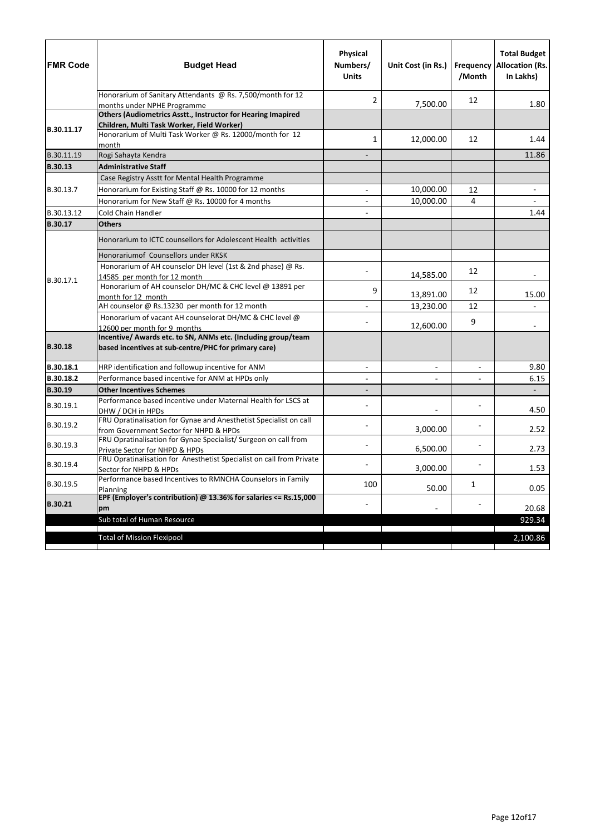| <b>FMR Code</b> | <b>Budget Head</b>                                                                                                    | <b>Physical</b><br>Numbers/<br><b>Units</b> | Unit Cost (in Rs.)       | /Month                   | <b>Total Budget</b><br><b>Frequency Allocation (Rs.</b><br>In Lakhs) |
|-----------------|-----------------------------------------------------------------------------------------------------------------------|---------------------------------------------|--------------------------|--------------------------|----------------------------------------------------------------------|
|                 | Honorarium of Sanitary Attendants @ Rs. 7,500/month for 12<br>months under NPHE Programme                             | 2                                           | 7,500.00                 | 12                       | 1.80                                                                 |
|                 | Others (Audiometrics Asstt., Instructor for Hearing Imapired                                                          |                                             |                          |                          |                                                                      |
|                 | Children, Multi Task Worker, Field Worker)                                                                            |                                             |                          |                          |                                                                      |
| B.30.11.17      | Honorarium of Multi Task Worker @ Rs. 12000/month for 12<br>month                                                     | 1                                           | 12,000.00                | 12                       | 1.44                                                                 |
| B.30.11.19      | Rogi Sahayta Kendra                                                                                                   |                                             |                          |                          | 11.86                                                                |
| <b>B.30.13</b>  | <b>Administrative Staff</b>                                                                                           |                                             |                          |                          |                                                                      |
|                 | Case Registry Asstt for Mental Health Programme                                                                       |                                             |                          |                          |                                                                      |
| B.30.13.7       | Honorarium for Existing Staff @ Rs. 10000 for 12 months                                                               |                                             | 10,000.00                | 12                       |                                                                      |
|                 | Honorarium for New Staff @ Rs. 10000 for 4 months                                                                     |                                             | 10,000.00                | 4                        |                                                                      |
| B.30.13.12      | Cold Chain Handler                                                                                                    |                                             |                          |                          | 1.44                                                                 |
| <b>B.30.17</b>  | <b>Others</b>                                                                                                         |                                             |                          |                          |                                                                      |
|                 | Honorarium to ICTC counsellors for Adolescent Health activities                                                       |                                             |                          |                          |                                                                      |
|                 | Honorariumof Counsellors under RKSK                                                                                   |                                             |                          |                          |                                                                      |
|                 | Honorarium of AH counselor DH level (1st & 2nd phase) @ Rs.                                                           |                                             |                          | 12                       |                                                                      |
| B.30.17.1       | 14585 per month for 12 month                                                                                          |                                             | 14,585.00                |                          |                                                                      |
|                 | Honorarium of AH counselor DH/MC & CHC level @ 13891 per                                                              | 9                                           | 13,891.00                | 12                       | 15.00                                                                |
|                 | month for 12 month<br>AH counselor @ Rs.13230 per month for 12 month                                                  |                                             | 13,230.00                | 12                       |                                                                      |
|                 | Honorarium of vacant AH counselorat DH/MC & CHC level @                                                               |                                             |                          |                          |                                                                      |
|                 | 12600 per month for 9 months                                                                                          |                                             | 12,600.00                | 9                        |                                                                      |
| <b>B.30.18</b>  | Incentive/ Awards etc. to SN, ANMs etc. (Including group/team<br>based incentives at sub-centre/PHC for primary care) |                                             |                          |                          |                                                                      |
| B.30.18.1       | HRP identification and followup incentive for ANM                                                                     |                                             | $\overline{\phantom{0}}$ | $\overline{\phantom{a}}$ | 9.80                                                                 |
| B.30.18.2       | Performance based incentive for ANM at HPDs only                                                                      |                                             | $\overline{\phantom{0}}$ | $\overline{\phantom{a}}$ | 6.15                                                                 |
| <b>B.30.19</b>  | <b>Other Incentives Schemes</b>                                                                                       |                                             |                          |                          |                                                                      |
| B.30.19.1       | Performance based incentive under Maternal Health for LSCS at<br>DHW / DCH in HPDs                                    |                                             |                          |                          | 4.50                                                                 |
| B.30.19.2       | FRU Opratinalisation for Gynae and Anesthetist Specialist on call<br>from Government Sector for NHPD & HPDs           |                                             | 3,000.00                 |                          | 2.52                                                                 |
| B.30.19.3       | FRU Opratinalisation for Gynae Specialist/ Surgeon on call from<br>Private Sector for NHPD & HPDs                     |                                             | 6,500.00                 |                          | 2.73                                                                 |
| B.30.19.4       | FRU Opratinalisation for Anesthetist Specialist on call from Private<br>Sector for NHPD & HPDs                        |                                             | 3,000.00                 |                          | 1.53                                                                 |
| B.30.19.5       | Performance based Incentives to RMNCHA Counselors in Family<br>Planning                                               | 100                                         | 50.00                    | 1                        | 0.05                                                                 |
| <b>B.30.21</b>  | EPF (Employer's contribution) @ 13.36% for salaries $\leq$ Rs.15,000<br>pm                                            |                                             |                          |                          | 20.68                                                                |
|                 | Sub total of Human Resource                                                                                           |                                             |                          |                          | 929.34                                                               |
|                 | <b>Total of Mission Flexipool</b>                                                                                     |                                             |                          |                          | 2,100.86                                                             |
|                 |                                                                                                                       |                                             |                          |                          |                                                                      |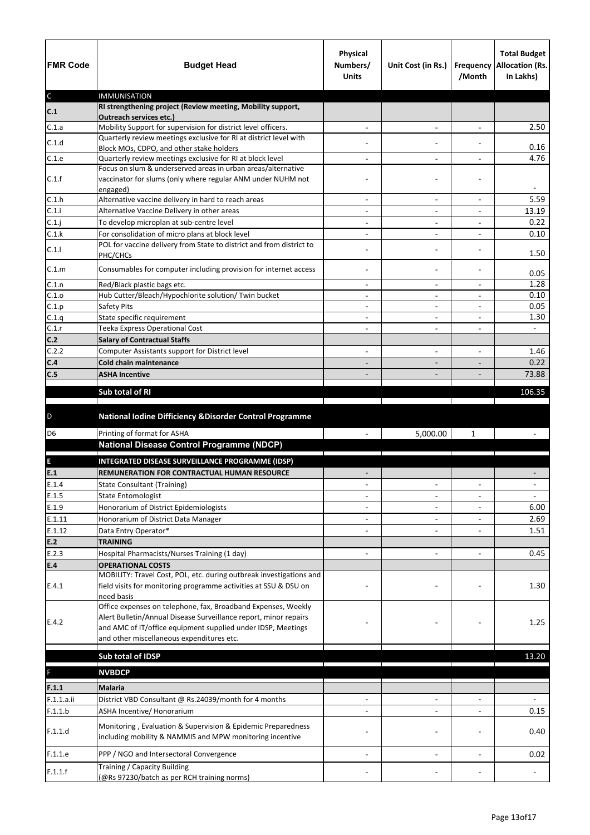| <b>FMR Code</b> | <b>Budget Head</b>                                                                                                                      | <b>Physical</b><br>Numbers/<br><b>Units</b> | Unit Cost (in Rs.)           | <b>Frequency</b><br>/Month | <b>Total Budget</b><br><b>Allocation (Rs.</b><br>In Lakhs) |
|-----------------|-----------------------------------------------------------------------------------------------------------------------------------------|---------------------------------------------|------------------------------|----------------------------|------------------------------------------------------------|
| $\mathsf C$     | <b>IMMUNISATION</b><br>RI strengthening project (Review meeting, Mobility support,                                                      |                                             |                              |                            |                                                            |
| C.1             | <b>Outreach services etc.)</b>                                                                                                          |                                             |                              |                            |                                                            |
| C.1.a           | Mobility Support for supervision for district level officers.                                                                           |                                             | $\overline{\phantom{a}}$     | $\blacksquare$             | 2.50                                                       |
| C.1.d           | Quarterly review meetings exclusive for RI at district level with                                                                       |                                             |                              |                            |                                                            |
| C.1.e           | Block MOs, CDPO, and other stake holders<br>Quarterly review meetings exclusive for RI at block level                                   |                                             | $\blacksquare$               |                            | 0.16<br>4.76                                               |
|                 | Focus on slum & underserved areas in urban areas/alternative                                                                            |                                             |                              |                            |                                                            |
| C.1.f           | vaccinator for slums (only where regular ANM under NUHM not<br>engaged)                                                                 |                                             |                              |                            |                                                            |
| C.1.h           | Alternative vaccine delivery in hard to reach areas                                                                                     |                                             |                              |                            | 5.59                                                       |
| C.1.i           | Alternative Vaccine Delivery in other areas                                                                                             | $\overline{\phantom{a}}$                    | $\overline{\phantom{a}}$     | $\overline{\phantom{a}}$   | 13.19                                                      |
| C.1.j           | To develop microplan at sub-centre level                                                                                                |                                             |                              |                            | 0.22                                                       |
| C.1.k           | For consolidation of micro plans at block level                                                                                         |                                             | $\overline{\phantom{0}}$     |                            | 0.10                                                       |
| C.1.1           | POL for vaccine delivery from State to district and from district to<br>PHC/CHCs                                                        |                                             |                              |                            | 1.50                                                       |
| C.1.m           | Consumables for computer including provision for internet access                                                                        |                                             |                              |                            | 0.05                                                       |
| C.1.n           | Red/Black plastic bags etc.                                                                                                             | $\overline{\phantom{a}}$                    | $\overline{\phantom{a}}$     | $\overline{\phantom{a}}$   | 1.28                                                       |
| C.1.o           | Hub Cutter/Bleach/Hypochlorite solution/ Twin bucket                                                                                    |                                             |                              |                            | 0.10<br>0.05                                               |
| C.1.p<br>C.1.q  | <b>Safety Pits</b><br>State specific requirement                                                                                        |                                             | $\qquad \qquad \blacksquare$ | $\overline{a}$             | 1.30                                                       |
| C.1.r           | Teeka Express Operational Cost                                                                                                          | $\overline{\phantom{a}}$                    | $\overline{\phantom{0}}$     | $\overline{\phantom{a}}$   | $\sim$                                                     |
| C.2             | <b>Salary of Contractual Staffs</b>                                                                                                     |                                             |                              |                            |                                                            |
| C.2.2           | Computer Assistants support for District level                                                                                          |                                             | $\overline{\phantom{0}}$     | $\overline{\phantom{0}}$   | 1.46                                                       |
| C.4             | <b>Cold chain maintenance</b>                                                                                                           |                                             |                              |                            | 0.22                                                       |
| C.5             | <b>ASHA Incentive</b>                                                                                                                   |                                             |                              |                            | 73.88                                                      |
|                 |                                                                                                                                         |                                             |                              |                            |                                                            |
|                 | Sub total of RI                                                                                                                         |                                             |                              |                            | 106.35                                                     |
| D               | National Iodine Difficiency & Disorder Control Programme                                                                                |                                             |                              |                            |                                                            |
| D <sub>6</sub>  | Printing of format for ASHA                                                                                                             |                                             | 5,000.00                     | $\mathbf{1}$               |                                                            |
|                 | <b>National Disease Control Programme (NDCP)</b>                                                                                        |                                             |                              |                            |                                                            |
| E               | INTEGRATED DISEASE SURVEILLANCE PROGRAMME (IDSP)                                                                                        |                                             |                              |                            |                                                            |
| E.1             | REMUNERATION FOR CONTRACTUAL HUMAN RESOURCE                                                                                             |                                             |                              |                            |                                                            |
| E.1.4           | <b>State Consultant (Training)</b>                                                                                                      |                                             | $\blacksquare$               | $\overline{\phantom{a}}$   |                                                            |
| E.1.5           | <b>State Entomologist</b>                                                                                                               |                                             |                              |                            |                                                            |
| E.1.9           | Honorarium of District Epidemiologists                                                                                                  |                                             |                              |                            | 6.00                                                       |
| E.1.11          | Honorarium of District Data Manager                                                                                                     |                                             |                              |                            | 2.69                                                       |
| E.1.12          | Data Entry Operator*                                                                                                                    |                                             |                              |                            | 1.51                                                       |
| E.2             | <b>TRAINING</b>                                                                                                                         |                                             |                              |                            |                                                            |
| E.2.3           | Hospital Pharmacists/Nurses Training (1 day)                                                                                            |                                             |                              |                            | 0.45                                                       |
| E.4             | <b>OPERATIONAL COSTS</b>                                                                                                                |                                             |                              |                            |                                                            |
| E.4.1           | MOBILITY: Travel Cost, POL, etc. during outbreak investigations and<br>field visits for monitoring programme activities at SSU & DSU on |                                             |                              |                            | 1.30                                                       |
|                 | need basis<br>Office expenses on telephone, fax, Broadband Expenses, Weekly                                                             |                                             |                              |                            |                                                            |
| E.4.2           | Alert Bulletin/Annual Disease Surveillance report, minor repairs<br>and AMC of IT/office equipment supplied under IDSP, Meetings        |                                             |                              |                            | 1.25                                                       |
|                 | and other miscellaneous expenditures etc.                                                                                               |                                             |                              |                            |                                                            |
|                 |                                                                                                                                         |                                             |                              |                            |                                                            |
|                 | Sub total of IDSP                                                                                                                       |                                             |                              |                            | 13.20                                                      |
| F               | <b>NVBDCP</b>                                                                                                                           |                                             |                              |                            |                                                            |
| F.1.1           | <b>Malaria</b>                                                                                                                          |                                             |                              |                            |                                                            |
| F.1.1.a.ii      | District VBD Consultant @ Rs.24039/month for 4 months                                                                                   |                                             |                              |                            |                                                            |
| F.1.1.b         | ASHA Incentive/ Honorarium                                                                                                              |                                             |                              |                            | 0.15                                                       |
|                 | Monitoring, Evaluation & Supervision & Epidemic Preparedness                                                                            |                                             |                              |                            |                                                            |
| F.1.1.d         | including mobility & NAMMIS and MPW monitoring incentive                                                                                |                                             |                              |                            | 0.40                                                       |
| F.1.1.e         |                                                                                                                                         |                                             |                              |                            |                                                            |
|                 | PPP / NGO and Intersectoral Convergence<br>Training / Capacity Building                                                                 |                                             |                              |                            | 0.02                                                       |
| F.1.1.f         | (@Rs 97230/batch as per RCH training norms)                                                                                             |                                             |                              |                            |                                                            |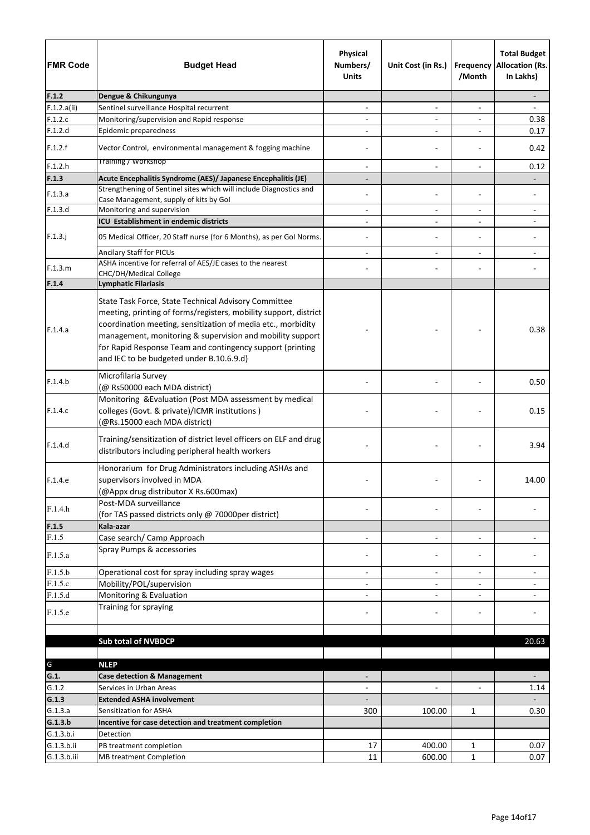| <b>FMR Code</b> | <b>Budget Head</b>                                                                                                                                                                                                                                                                                                                                             | Physical<br>Numbers/<br><b>Units</b> | Unit Cost (in Rs.)       | Frequency<br>/Month      | <b>Total Budget</b><br><b>Allocation (Rs.</b><br>In Lakhs) |
|-----------------|----------------------------------------------------------------------------------------------------------------------------------------------------------------------------------------------------------------------------------------------------------------------------------------------------------------------------------------------------------------|--------------------------------------|--------------------------|--------------------------|------------------------------------------------------------|
| F.1.2           | Dengue & Chikungunya                                                                                                                                                                                                                                                                                                                                           |                                      |                          |                          |                                                            |
| F.1.2.a(ii)     | Sentinel surveillance Hospital recurrent                                                                                                                                                                                                                                                                                                                       |                                      | $\qquad \qquad -$        |                          |                                                            |
| F.1.2.c         | Monitoring/supervision and Rapid response                                                                                                                                                                                                                                                                                                                      |                                      | $\overline{\phantom{a}}$ | $\overline{a}$           | 0.38                                                       |
| F.1.2.d         | Epidemic preparedness                                                                                                                                                                                                                                                                                                                                          |                                      | $\overline{\phantom{a}}$ |                          | 0.17                                                       |
| F.1.2.f         | Vector Control, environmental management & fogging machine                                                                                                                                                                                                                                                                                                     |                                      |                          |                          | 0.42                                                       |
| F.1.2.h         | <b>Training / Workshop</b>                                                                                                                                                                                                                                                                                                                                     |                                      | $\blacksquare$           |                          | 0.12                                                       |
| F.1.3           | Acute Encephalitis Syndrome (AES)/ Japanese Encephalitis (JE)                                                                                                                                                                                                                                                                                                  |                                      |                          |                          |                                                            |
| F.1.3.a         | Strengthening of Sentinel sites which will include Diagnostics and                                                                                                                                                                                                                                                                                             |                                      |                          |                          |                                                            |
| F.1.3.d         | Case Management, supply of kits by Gol<br>Monitoring and supervision                                                                                                                                                                                                                                                                                           | $\overline{a}$                       | $\overline{\phantom{a}}$ | $\blacksquare$           |                                                            |
|                 | ICU Establishment in endemic districts                                                                                                                                                                                                                                                                                                                         | -                                    | $\overline{\phantom{a}}$ | $\overline{\phantom{a}}$ |                                                            |
|                 |                                                                                                                                                                                                                                                                                                                                                                |                                      |                          |                          |                                                            |
| $F.1.3.$ j      | 05 Medical Officer, 20 Staff nurse (for 6 Months), as per Gol Norms.                                                                                                                                                                                                                                                                                           |                                      | $\overline{\phantom{a}}$ | $\blacksquare$           |                                                            |
|                 | Ancilary Staff for PICUs<br>ASHA incentive for referral of AES/JE cases to the nearest                                                                                                                                                                                                                                                                         |                                      |                          |                          |                                                            |
| F.1.3.m         | CHC/DH/Medical College                                                                                                                                                                                                                                                                                                                                         |                                      |                          |                          |                                                            |
| F.1.4           | <b>Lymphatic Filariasis</b>                                                                                                                                                                                                                                                                                                                                    |                                      |                          |                          |                                                            |
| F.1.4.a         | State Task Force, State Technical Advisory Committee<br>meeting, printing of forms/registers, mobility support, district<br>coordination meeting, sensitization of media etc., morbidity<br>management, monitoring & supervision and mobility support<br>for Rapid Response Team and contingency support (printing<br>and IEC to be budgeted under B.10.6.9.d) |                                      |                          |                          | 0.38                                                       |
| F.1.4.b         | Microfilaria Survey<br>(@ Rs50000 each MDA district)                                                                                                                                                                                                                                                                                                           |                                      |                          |                          | 0.50                                                       |
| F.1.4.c         | Monitoring & Evaluation (Post MDA assessment by medical<br>colleges (Govt. & private)/ICMR institutions)<br>(@Rs.15000 each MDA district)                                                                                                                                                                                                                      |                                      |                          |                          | 0.15                                                       |
| F.1.4.d         | Training/sensitization of district level officers on ELF and drug<br>distributors including peripheral health workers                                                                                                                                                                                                                                          |                                      |                          |                          | 3.94                                                       |
| F.1.4.e         | Honorarium for Drug Administrators including ASHAs and<br>supervisors involved in MDA<br>(@Appx drug distributor X Rs.600max)                                                                                                                                                                                                                                  |                                      |                          |                          | 14.00                                                      |
| F.1.4.h         | Post-MDA surveillance<br>(for TAS passed districts only @ 70000per district)                                                                                                                                                                                                                                                                                   |                                      |                          |                          |                                                            |
| F.1.5           | Kala-azar                                                                                                                                                                                                                                                                                                                                                      |                                      |                          |                          |                                                            |
| F.1.5           | Case search/ Camp Approach                                                                                                                                                                                                                                                                                                                                     | $\overline{\phantom{0}}$             | $\overline{\phantom{a}}$ | $\overline{a}$           |                                                            |
| F.1.5.a         | Spray Pumps & accessories                                                                                                                                                                                                                                                                                                                                      |                                      |                          |                          |                                                            |
| F.1.5.b         | Operational cost for spray including spray wages                                                                                                                                                                                                                                                                                                               | $\overline{\phantom{a}}$             | $\overline{\phantom{a}}$ | $\overline{\phantom{a}}$ |                                                            |
| F.1.5.c         | Mobility/POL/supervision                                                                                                                                                                                                                                                                                                                                       |                                      |                          |                          |                                                            |
| F.1.5.d         | Monitoring & Evaluation                                                                                                                                                                                                                                                                                                                                        |                                      | $\overline{\phantom{a}}$ |                          |                                                            |
| F.1.5.e         | Training for spraying                                                                                                                                                                                                                                                                                                                                          |                                      |                          |                          |                                                            |
|                 |                                                                                                                                                                                                                                                                                                                                                                |                                      |                          |                          |                                                            |
|                 | <b>Sub total of NVBDCP</b>                                                                                                                                                                                                                                                                                                                                     |                                      |                          |                          | 20.63                                                      |
|                 |                                                                                                                                                                                                                                                                                                                                                                |                                      |                          |                          |                                                            |
| G<br>G.1.       | <b>NLEP</b>                                                                                                                                                                                                                                                                                                                                                    |                                      |                          |                          |                                                            |
| G.1.2           | <b>Case detection &amp; Management</b><br>Services in Urban Areas                                                                                                                                                                                                                                                                                              |                                      |                          |                          |                                                            |
| G.1.3           | <b>Extended ASHA involvement</b>                                                                                                                                                                                                                                                                                                                               |                                      |                          |                          | 1.14                                                       |
| G.1.3.a         | Sensitization for ASHA                                                                                                                                                                                                                                                                                                                                         | 300                                  | 100.00                   | $\mathbf{1}$             | 0.30                                                       |
| G.1.3.b         | Incentive for case detection and treatment completion                                                                                                                                                                                                                                                                                                          |                                      |                          |                          |                                                            |
| G.1.3.b.i       | Detection                                                                                                                                                                                                                                                                                                                                                      |                                      |                          |                          |                                                            |
| G.1.3.b.ii      | PB treatment completion                                                                                                                                                                                                                                                                                                                                        | 17                                   | 400.00                   | $\mathbf{1}$             | 0.07                                                       |
| G.1.3.b.iii     | <b>MB treatment Completion</b>                                                                                                                                                                                                                                                                                                                                 | 11                                   | 600.00                   | $\mathbf{1}$             | 0.07                                                       |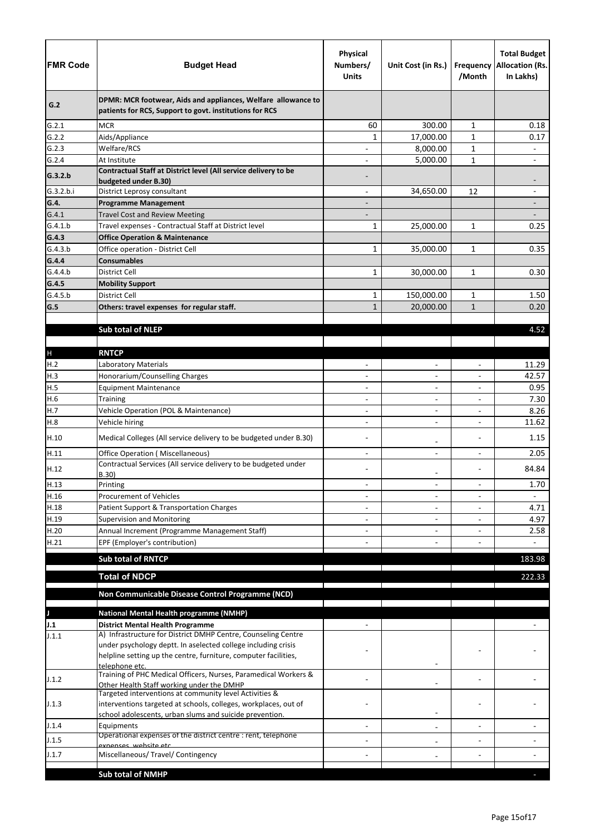| <b>FMR Code</b> | <b>Budget Head</b>                                                                                                        | <b>Physical</b><br>Numbers/<br><b>Units</b> | Unit Cost (in Rs.)       | /Month                   | <b>Total Budget</b><br><b>Frequency Allocation (Rs.</b><br>In Lakhs) |
|-----------------|---------------------------------------------------------------------------------------------------------------------------|---------------------------------------------|--------------------------|--------------------------|----------------------------------------------------------------------|
| G.2             | DPMR: MCR footwear, Aids and appliances, Welfare allowance to<br>patients for RCS, Support to govt. institutions for RCS  |                                             |                          |                          |                                                                      |
| G.2.1           | <b>MCR</b>                                                                                                                | 60                                          | 300.00                   | $\mathbf{1}$             | 0.18                                                                 |
| G.2.2           | Aids/Appliance                                                                                                            | 1                                           | 17,000.00                | $\mathbf{1}$             | 0.17                                                                 |
| G.2.3           | Welfare/RCS                                                                                                               |                                             | 8,000.00                 | $\mathbf{1}$             | $\qquad \qquad -$                                                    |
| G.2.4           | At Institute                                                                                                              |                                             | 5,000.00                 | $\mathbf{1}$             |                                                                      |
| G.3.2.b         | Contractual Staff at District level (All service delivery to be<br>budgeted under B.30)                                   |                                             |                          |                          |                                                                      |
| G.3.2.b.i       | District Leprosy consultant                                                                                               | $\overline{\phantom{a}}$                    | 34,650.00                | 12                       | $\qquad \qquad \blacksquare$                                         |
| G.4.<br>G.4.1   | <b>Programme Management</b><br><b>Travel Cost and Review Meeting</b>                                                      |                                             |                          |                          |                                                                      |
| G.4.1.b         | Travel expenses - Contractual Staff at District level                                                                     | $\mathbf{1}$                                | 25,000.00                | $\mathbf{1}$             | 0.25                                                                 |
| G.4.3           | <b>Office Operation &amp; Maintenance</b>                                                                                 |                                             |                          |                          |                                                                      |
| G.4.3.b         | Office operation - District Cell                                                                                          | $\mathbf{1}$                                | 35,000.00                | $\mathbf{1}$             | 0.35                                                                 |
| G.4.4           | <b>Consumables</b>                                                                                                        |                                             |                          |                          |                                                                      |
| G.4.4.b         | <b>District Cell</b>                                                                                                      | $\mathbf{1}$                                | 30,000.00                | $\mathbf{1}$             | 0.30                                                                 |
| G.4.5           | <b>Mobility Support</b>                                                                                                   |                                             |                          |                          |                                                                      |
| G.4.5.b         | District Cell                                                                                                             | $\mathbf{1}$                                | 150,000.00               | $\mathbf{1}$             | 1.50                                                                 |
| G.5             | Others: travel expenses for regular staff.                                                                                | $\mathbf{1}$                                | 20,000.00                | $\mathbf{1}$             | 0.20                                                                 |
|                 |                                                                                                                           |                                             |                          |                          |                                                                      |
|                 | <b>Sub total of NLEP</b>                                                                                                  |                                             |                          |                          | 4.52                                                                 |
|                 |                                                                                                                           |                                             |                          |                          |                                                                      |
| $\mathsf{H}%$   | <b>RNTCP</b>                                                                                                              |                                             |                          |                          |                                                                      |
| H.2             | Laboratory Materials                                                                                                      |                                             | $\overline{\phantom{0}}$ |                          | 11.29                                                                |
| H.3             | Honorarium/Counselling Charges                                                                                            |                                             | $\overline{\phantom{0}}$ | $\overline{\phantom{a}}$ | 42.57                                                                |
| H.5             | <b>Equipment Maintenance</b>                                                                                              |                                             | $\qquad \qquad -$        |                          | 0.95                                                                 |
| H.6             | <b>Training</b>                                                                                                           | $\overline{\phantom{a}}$                    | $\overline{\phantom{0}}$ |                          | 7.30                                                                 |
| H.7             | Vehicle Operation (POL & Maintenance)                                                                                     |                                             | $\overline{a}$           |                          | 8.26                                                                 |
| H.8             | Vehicle hiring                                                                                                            |                                             |                          |                          | 11.62                                                                |
| H.10            | Medical Colleges (All service delivery to be budgeted under B.30)                                                         |                                             |                          |                          | 1.15                                                                 |
| H.11            | <b>Office Operation (Miscellaneous)</b><br>Contractual Services (All service delivery to be budgeted under                |                                             | $\overline{\phantom{0}}$ |                          | 2.05                                                                 |
| H.12            | B.30)                                                                                                                     |                                             | -                        |                          | 84.84                                                                |
| H.13            | Printing                                                                                                                  | $\overline{\phantom{0}}$                    | $\overline{\phantom{0}}$ | $\overline{a}$           | 1.70                                                                 |
| H.16            | <b>Procurement of Vehicles</b>                                                                                            |                                             | $\overline{\phantom{0}}$ |                          |                                                                      |
| H.18            | Patient Support & Transportation Charges                                                                                  |                                             | $\qquad \qquad -$        |                          | 4.71                                                                 |
| H.19            | <b>Supervision and Monitoring</b>                                                                                         |                                             | $\overline{\phantom{0}}$ |                          | 4.97                                                                 |
| H.20            | Annual Increment (Programme Management Staff)                                                                             |                                             |                          |                          | 2.58                                                                 |
| H.21            | EPF (Employer's contribution)                                                                                             |                                             |                          |                          | $\overline{\phantom{0}}$                                             |
|                 | <b>Sub total of RNTCP</b>                                                                                                 |                                             |                          |                          | 183.98                                                               |
|                 | <b>Total of NDCP</b>                                                                                                      |                                             |                          |                          | 222.33                                                               |
|                 | Non Communicable Disease Control Programme (NCD)                                                                          |                                             |                          |                          |                                                                      |
|                 |                                                                                                                           |                                             |                          |                          |                                                                      |
|                 | <b>National Mental Health programme (NMHP)</b>                                                                            |                                             |                          |                          |                                                                      |
| J.1<br>J.1.1    | <b>District Mental Health Programme</b><br>A) Infrastructure for District DMHP Centre, Counseling Centre                  |                                             |                          |                          |                                                                      |
|                 | under psychology deptt. In aselected college including crisis                                                             |                                             |                          |                          |                                                                      |
|                 | helpline setting up the centre, furniture, computer facilities,                                                           |                                             |                          |                          |                                                                      |
|                 | telephone etc.<br>Training of PHC Medical Officers, Nurses, Paramedical Workers &                                         |                                             |                          |                          |                                                                      |
| J.1.2           | Other Health Staff working under the DMHP                                                                                 |                                             |                          |                          |                                                                      |
| J.1.3           | Targeted interventions at community level Activities &<br>interventions targeted at schools, colleges, workplaces, out of |                                             |                          |                          |                                                                      |
| J.1.4           | school adolescents, urban slums and suicide prevention.<br>Equipments                                                     |                                             |                          |                          |                                                                      |
|                 | Operational expenses of the district centre : rent, telephone                                                             |                                             |                          |                          |                                                                      |
| J.1.5<br>J.1.7  | exnenses, website etc                                                                                                     |                                             |                          |                          |                                                                      |
|                 | Miscellaneous/ Travel/ Contingency                                                                                        |                                             |                          |                          |                                                                      |
|                 | <b>Sub total of NMHP</b>                                                                                                  |                                             |                          |                          |                                                                      |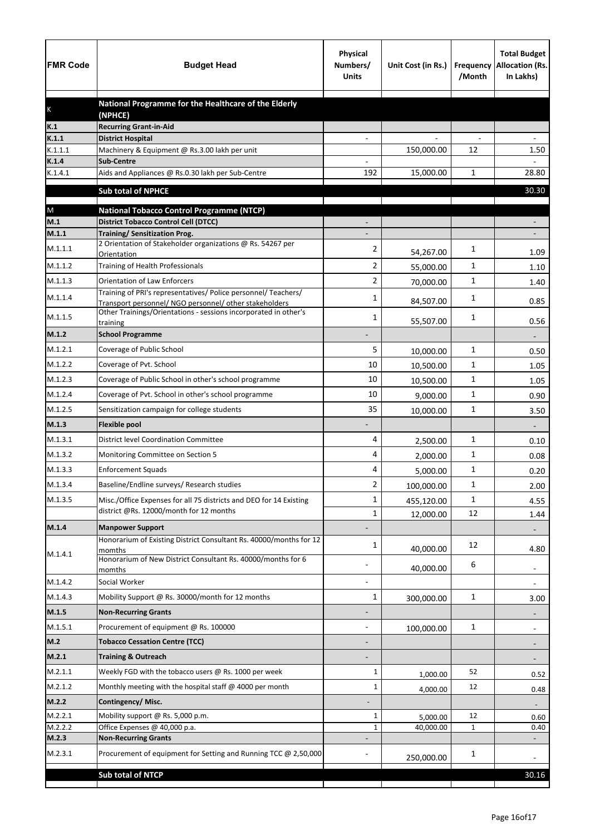| <b>FMR Code</b>  | <b>Budget Head</b>                                                                                    | <b>Physical</b><br>Numbers/<br><b>Units</b> | Unit Cost (in Rs.) | Frequency<br>/Month | <b>Total Budget</b><br><b>Allocation (Rs.</b><br>In Lakhs) |
|------------------|-------------------------------------------------------------------------------------------------------|---------------------------------------------|--------------------|---------------------|------------------------------------------------------------|
|                  | National Programme for the Healthcare of the Elderly                                                  |                                             |                    |                     |                                                            |
| K                | (NPHCE)                                                                                               |                                             |                    |                     |                                                            |
| K.1              | <b>Recurring Grant-in-Aid</b>                                                                         |                                             |                    |                     |                                                            |
| K.1.1<br>K.1.1.1 | <b>District Hospital</b><br>Machinery & Equipment @ Rs.3.00 lakh per unit                             |                                             | 150,000.00         | 12                  | 1.50                                                       |
| K.1.4            | <b>Sub-Centre</b>                                                                                     |                                             |                    |                     |                                                            |
| K.1.4.1          | Aids and Appliances @ Rs.0.30 lakh per Sub-Centre                                                     | 192                                         | 15,000.00          | 1                   | 28.80                                                      |
|                  | <b>Sub total of NPHCE</b>                                                                             |                                             |                    |                     | 30.30                                                      |
|                  |                                                                                                       |                                             |                    |                     |                                                            |
| ${\sf M}$<br>M.1 | <b>National Tobacco Control Programme (NTCP)</b><br><b>District Tobacco Control Cell (DTCC)</b>       |                                             |                    |                     |                                                            |
| M.1.1            | <b>Training/ Sensitization Prog.</b>                                                                  |                                             |                    |                     |                                                            |
| M.1.1.1          | 2 Orientation of Stakeholder organizations @ Rs. 54267 per                                            | 2                                           |                    | 1                   |                                                            |
| M.1.1.2          | Orientation<br>Training of Health Professionals                                                       | $\overline{2}$                              | 54,267.00          | 1                   | 1.09                                                       |
| M.1.1.3          |                                                                                                       |                                             | 55,000.00          |                     | 1.10                                                       |
|                  | <b>Orientation of Law Enforcers</b><br>Training of PRI's representatives/ Police personnel/ Teachers/ | 2                                           | 70,000.00          | 1                   | 1.40                                                       |
| M.1.1.4          | Transport personnel/ NGO personnel/ other stakeholders                                                | 1                                           | 84,507.00          | 1                   | 0.85                                                       |
| M.1.1.5          | Other Trainings/Orientations - sessions incorporated in other's<br>training                           | 1                                           | 55,507.00          | 1                   | 0.56                                                       |
| M.1.2            | <b>School Programme</b>                                                                               |                                             |                    |                     |                                                            |
| M.1.2.1          | Coverage of Public School                                                                             | 5                                           | 10,000.00          | 1                   | 0.50                                                       |
| M.1.2.2          | Coverage of Pvt. School                                                                               | 10                                          | 10,500.00          | 1                   | 1.05                                                       |
| M.1.2.3          | Coverage of Public School in other's school programme                                                 | 10                                          | 10,500.00          | 1                   | 1.05                                                       |
| M.1.2.4          | Coverage of Pvt. School in other's school programme                                                   | 10                                          | 9,000.00           | 1                   | 0.90                                                       |
| M.1.2.5          | Sensitization campaign for college students                                                           | 35                                          | 10,000.00          | $\mathbf{1}$        | 3.50                                                       |
| M.1.3            | <b>Flexible pool</b>                                                                                  |                                             |                    |                     |                                                            |
| M.1.3.1          | <b>District level Coordination Committee</b>                                                          | 4                                           | 2,500.00           | 1                   | 0.10                                                       |
| M.1.3.2          | Monitoring Committee on Section 5                                                                     | 4                                           | 2,000.00           | 1                   | 0.08                                                       |
| M.1.3.3          | <b>Enforcement Squads</b>                                                                             | 4                                           | 5,000.00           | 1                   | 0.20                                                       |
| M.1.3.4          | Baseline/Endline surveys/ Research studies                                                            | 2                                           | 100,000.00         | 1                   | 2.00                                                       |
| M.1.3.5          | Misc./Office Expenses for all 75 districts and DEO for 14 Existing                                    | 1                                           | 455,120.00         | 1                   | 4.55                                                       |
|                  | district @Rs. 12000/month for 12 months                                                               | 1                                           | 12,000.00          | 12                  | 1.44                                                       |
| M.1.4            | <b>Manpower Support</b>                                                                               |                                             |                    |                     |                                                            |
|                  | Honorarium of Existing District Consultant Rs. 40000/months for 12                                    | 1                                           |                    | 12                  |                                                            |
| M.1.4.1          | momths<br>Honorarium of New District Consultant Rs. 40000/months for 6                                |                                             | 40,000.00          |                     | 4.80                                                       |
|                  | momths                                                                                                |                                             | 40,000.00          | 6                   | $\overline{\phantom{a}}$                                   |
| M.1.4.2          | Social Worker                                                                                         |                                             |                    |                     | $\overline{\phantom{a}}$                                   |
| M.1.4.3          | Mobility Support @ Rs. 30000/month for 12 months                                                      | $\mathbf{1}$                                | 300,000.00         | $\mathbf 1$         | 3.00                                                       |
| M.1.5            | <b>Non-Recurring Grants</b>                                                                           |                                             |                    |                     |                                                            |
| M.1.5.1          | Procurement of equipment @ Rs. 100000                                                                 |                                             | 100,000.00         | $\mathbf 1$         |                                                            |
| M.2              | <b>Tobacco Cessation Centre (TCC)</b>                                                                 |                                             |                    |                     |                                                            |
| M.2.1            | <b>Training &amp; Outreach</b>                                                                        |                                             |                    |                     |                                                            |
| M.2.1.1          | Weekly FGD with the tobacco users @ Rs. 1000 per week                                                 | 1                                           | 1,000.00           | 52                  | 0.52                                                       |
| M.2.1.2          | Monthly meeting with the hospital staff @ 4000 per month                                              | 1                                           | 4,000.00           | 12                  | 0.48                                                       |
| M.2.2            | Contingency/Misc.                                                                                     |                                             |                    |                     |                                                            |
| M.2.2.1          | Mobility support @ Rs. 5,000 p.m.                                                                     | 1                                           | 5,000.00           | 12                  | 0.60                                                       |
| M.2.2.2          | Office Expenses @ 40,000 p.a.                                                                         | 1                                           | 40,000.00          | $\mathbf{1}$        | 0.40                                                       |
| M.2.3            | <b>Non-Recurring Grants</b>                                                                           |                                             |                    |                     |                                                            |
| M.2.3.1          | Procurement of equipment for Setting and Running TCC @ 2,50,000                                       |                                             | 250,000.00         | 1                   |                                                            |
|                  | Sub total of NTCP                                                                                     |                                             |                    |                     | 30.16                                                      |
|                  |                                                                                                       |                                             |                    |                     |                                                            |